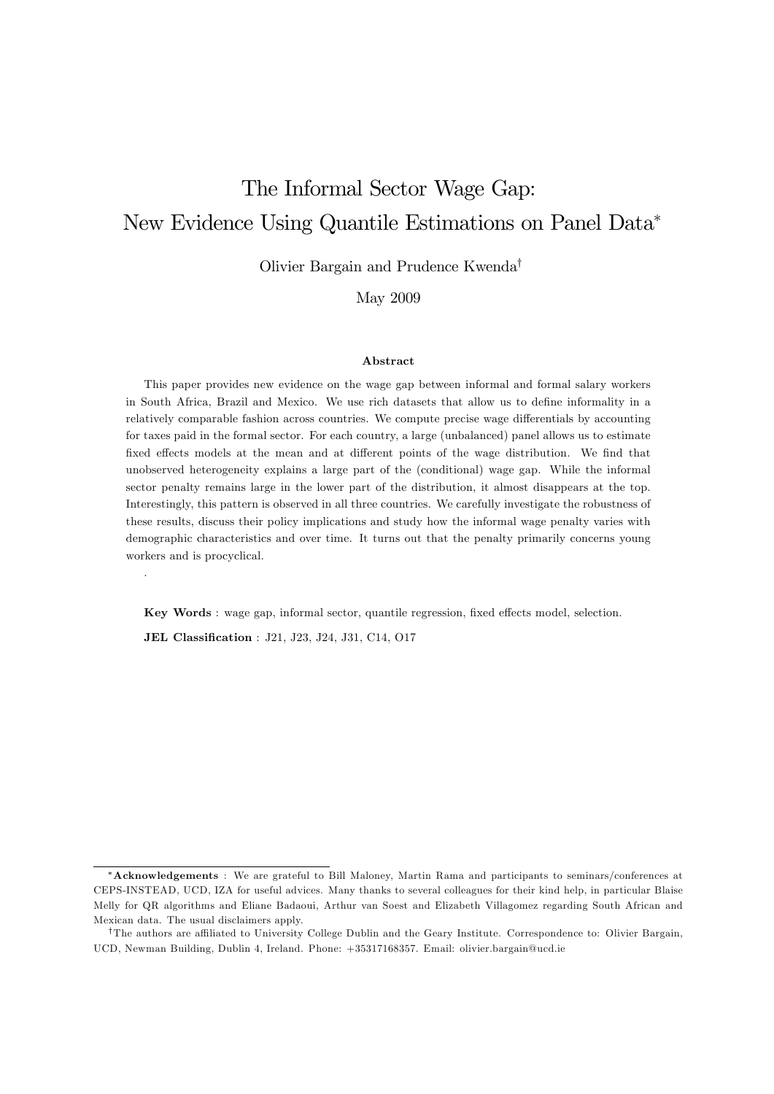# The Informal Sector Wage Gap: New Evidence Using Quantile Estimations on Panel Data

Olivier Bargain and Prudence Kwenda<sup>†</sup>

May 2009

#### Abstract

This paper provides new evidence on the wage gap between informal and formal salary workers in South Africa, Brazil and Mexico. We use rich datasets that allow us to define informality in a relatively comparable fashion across countries. We compute precise wage differentials by accounting for taxes paid in the formal sector. For each country, a large (unbalanced) panel allows us to estimate fixed effects models at the mean and at different points of the wage distribution. We find that unobserved heterogeneity explains a large part of the (conditional) wage gap. While the informal sector penalty remains large in the lower part of the distribution, it almost disappears at the top. Interestingly, this pattern is observed in all three countries. We carefully investigate the robustness of these results, discuss their policy implications and study how the informal wage penalty varies with demographic characteristics and over time. It turns out that the penalty primarily concerns young workers and is procyclical.

Key Words : wage gap, informal sector, quantile regression, fixed effects model, selection.

JEL Classification : J21, J23, J24, J31, C14, O17

.

Acknowledgements : We are grateful to Bill Maloney, Martin Rama and participants to seminars/conferences at CEPS-INSTEAD, UCD, IZA for useful advices. Many thanks to several colleagues for their kind help, in particular Blaise Melly for QR algorithms and Eliane Badaoui, Arthur van Soest and Elizabeth Villagomez regarding South African and Mexican data. The usual disclaimers apply.

<sup>&</sup>lt;sup>†</sup>The authors are affiliated to University College Dublin and the Geary Institute. Correspondence to: Olivier Bargain, UCD, Newman Building, Dublin 4, Ireland. Phone: +35317168357. Email: olivier.bargain@ucd.ie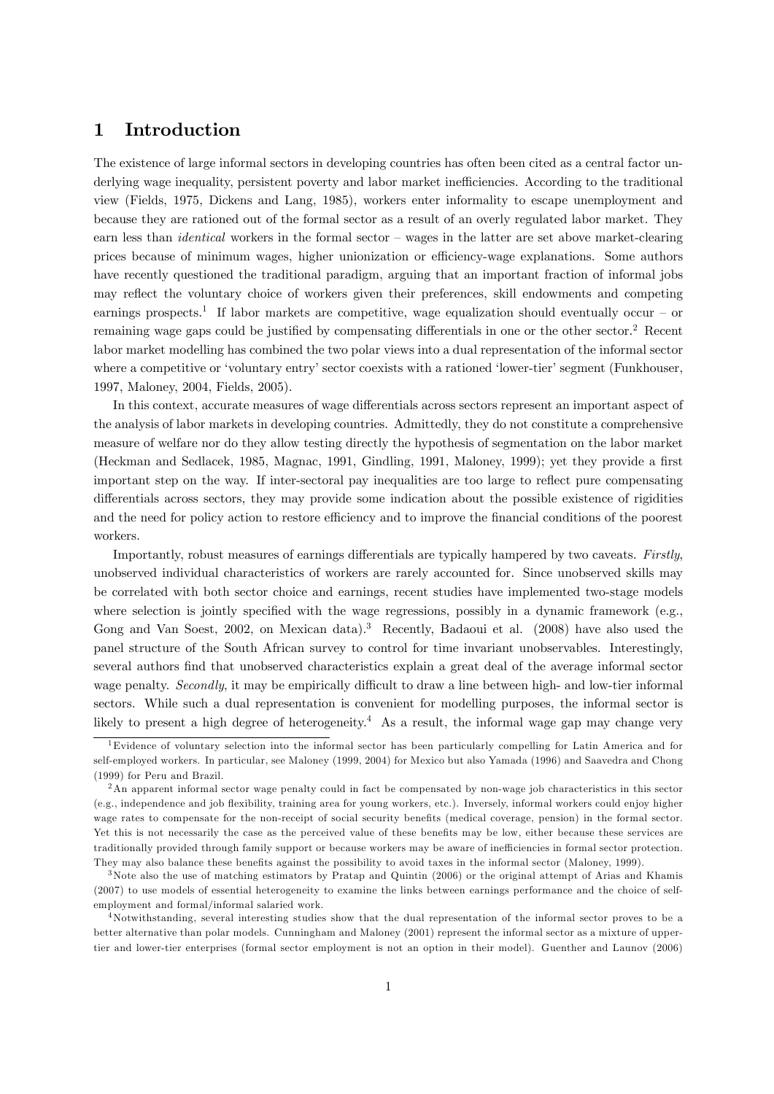## 1 Introduction

The existence of large informal sectors in developing countries has often been cited as a central factor underlying wage inequality, persistent poverty and labor market inefficiencies. According to the traditional view (Fields, 1975, Dickens and Lang, 1985), workers enter informality to escape unemployment and because they are rationed out of the formal sector as a result of an overly regulated labor market. They earn less than *identical* workers in the formal sector – wages in the latter are set above market-clearing prices because of minimum wages, higher unionization or efficiency-wage explanations. Some authors have recently questioned the traditional paradigm, arguing that an important fraction of informal jobs may reflect the voluntary choice of workers given their preferences, skill endowments and competing earnings prospects.<sup>1</sup> If labor markets are competitive, wage equalization should eventually occur – or remaining wage gaps could be justified by compensating differentials in one or the other sector.<sup>2</sup> Recent labor market modelling has combined the two polar views into a dual representation of the informal sector where a competitive or 'voluntary entry' sector coexists with a rationed 'lower-tier' segment (Funkhouser, 1997, Maloney, 2004, Fields, 2005).

In this context, accurate measures of wage differentials across sectors represent an important aspect of the analysis of labor markets in developing countries. Admittedly, they do not constitute a comprehensive measure of welfare nor do they allow testing directly the hypothesis of segmentation on the labor market (Heckman and Sedlacek, 1985, Magnac, 1991, Gindling, 1991, Maloney, 1999); yet they provide a first important step on the way. If inter-sectoral pay inequalities are too large to reáect pure compensating differentials across sectors, they may provide some indication about the possible existence of rigidities and the need for policy action to restore efficiency and to improve the financial conditions of the poorest workers.

Importantly, robust measures of earnings differentials are typically hampered by two caveats. Firstly, unobserved individual characteristics of workers are rarely accounted for. Since unobserved skills may be correlated with both sector choice and earnings, recent studies have implemented two-stage models where selection is jointly specified with the wage regressions, possibly in a dynamic framework (e.g., Gong and Van Soest, 2002, on Mexican data).<sup>3</sup> Recently, Badaoui et al. (2008) have also used the panel structure of the South African survey to control for time invariant unobservables. Interestingly, several authors Önd that unobserved characteristics explain a great deal of the average informal sector wage penalty. Secondly, it may be empirically difficult to draw a line between high- and low-tier informal sectors. While such a dual representation is convenient for modelling purposes, the informal sector is likely to present a high degree of heterogeneity.<sup>4</sup> As a result, the informal wage gap may change very

<sup>1</sup>Evidence of voluntary selection into the informal sector has been particularly compelling for Latin America and for self-employed workers. In particular, see Maloney (1999, 2004) for Mexico but also Yamada (1996) and Saavedra and Chong (1999) for Peru and Brazil.

<sup>2</sup>An apparent informal sector wage penalty could in fact be compensated by non-wage job characteristics in this sector (e.g., independence and job áexibility, training area for young workers, etc.). Inversely, informal workers could enjoy higher wage rates to compensate for the non-receipt of social security benefits (medical coverage, pension) in the formal sector. Yet this is not necessarily the case as the perceived value of these benefits may be low, either because these services are traditionally provided through family support or because workers may be aware of inefficiencies in formal sector protection. They may also balance these benefits against the possibility to avoid taxes in the informal sector (Maloney, 1999).

 $3$ Note also the use of matching estimators by Pratap and Quintin (2006) or the original attempt of Arias and Khamis (2007) to use models of essential heterogeneity to examine the links between earnings performance and the choice of selfemployment and formal/informal salaried work.

<sup>&</sup>lt;sup>4</sup>Notwithstanding, several interesting studies show that the dual representation of the informal sector proves to be a better alternative than polar models. Cunningham and Maloney (2001) represent the informal sector as a mixture of uppertier and lower-tier enterprises (formal sector employment is not an option in their model). Guenther and Launov (2006)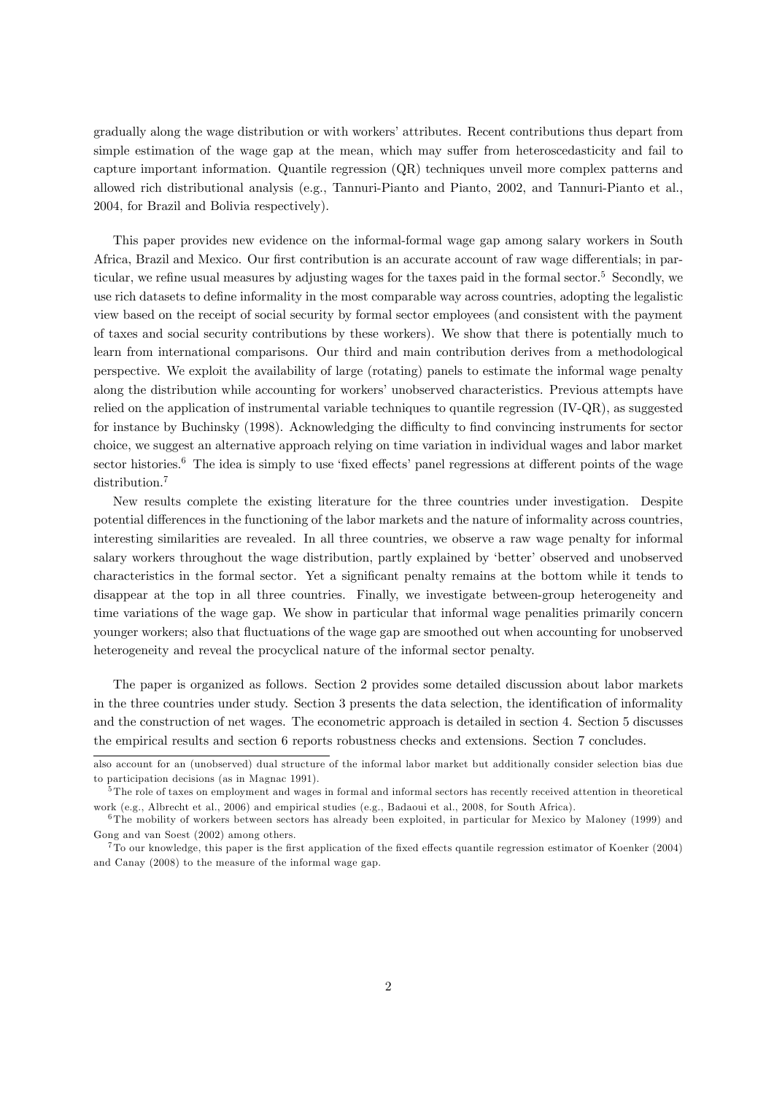gradually along the wage distribution or with workers' attributes. Recent contributions thus depart from simple estimation of the wage gap at the mean, which may suffer from heteroscedasticity and fail to capture important information. Quantile regression (QR) techniques unveil more complex patterns and allowed rich distributional analysis (e.g., Tannuri-Pianto and Pianto, 2002, and Tannuri-Pianto et al., 2004, for Brazil and Bolivia respectively).

This paper provides new evidence on the informal-formal wage gap among salary workers in South Africa, Brazil and Mexico. Our first contribution is an accurate account of raw wage differentials; in particular, we refine usual measures by adjusting wages for the taxes paid in the formal sector.<sup>5</sup> Secondly, we use rich datasets to define informality in the most comparable way across countries, adopting the legalistic view based on the receipt of social security by formal sector employees (and consistent with the payment of taxes and social security contributions by these workers). We show that there is potentially much to learn from international comparisons. Our third and main contribution derives from a methodological perspective. We exploit the availability of large (rotating) panels to estimate the informal wage penalty along the distribution while accounting for workers' unobserved characteristics. Previous attempts have relied on the application of instrumental variable techniques to quantile regression (IV-QR), as suggested for instance by Buchinsky (1998). Acknowledging the difficulty to find convincing instruments for sector choice, we suggest an alternative approach relying on time variation in individual wages and labor market sector histories.<sup>6</sup> The idea is simply to use 'fixed effects' panel regressions at different points of the wage distribution.<sup>7</sup>

New results complete the existing literature for the three countries under investigation. Despite potential differences in the functioning of the labor markets and the nature of informality across countries, interesting similarities are revealed. In all three countries, we observe a raw wage penalty for informal salary workers throughout the wage distribution, partly explained by 'better' observed and unobserved characteristics in the formal sector. Yet a significant penalty remains at the bottom while it tends to disappear at the top in all three countries. Finally, we investigate between-group heterogeneity and time variations of the wage gap. We show in particular that informal wage penalities primarily concern younger workers; also that fluctuations of the wage gap are smoothed out when accounting for unobserved heterogeneity and reveal the procyclical nature of the informal sector penalty.

The paper is organized as follows. Section 2 provides some detailed discussion about labor markets in the three countries under study. Section 3 presents the data selection, the identification of informality and the construction of net wages. The econometric approach is detailed in section 4. Section 5 discusses the empirical results and section 6 reports robustness checks and extensions. Section 7 concludes.

also account for an (unobserved) dual structure of the informal labor market but additionally consider selection bias due to participation decisions (as in Magnac 1991).

<sup>5</sup> The role of taxes on employment and wages in formal and informal sectors has recently received attention in theoretical work (e.g., Albrecht et al., 2006) and empirical studies (e.g., Badaoui et al., 2008, for South Africa).

<sup>6</sup> The mobility of workers between sectors has already been exploited, in particular for Mexico by Maloney (1999) and Gong and van Soest (2002) among others.

 $7$  To our knowledge, this paper is the first application of the fixed effects quantile regression estimator of Koenker (2004) and Canay (2008) to the measure of the informal wage gap.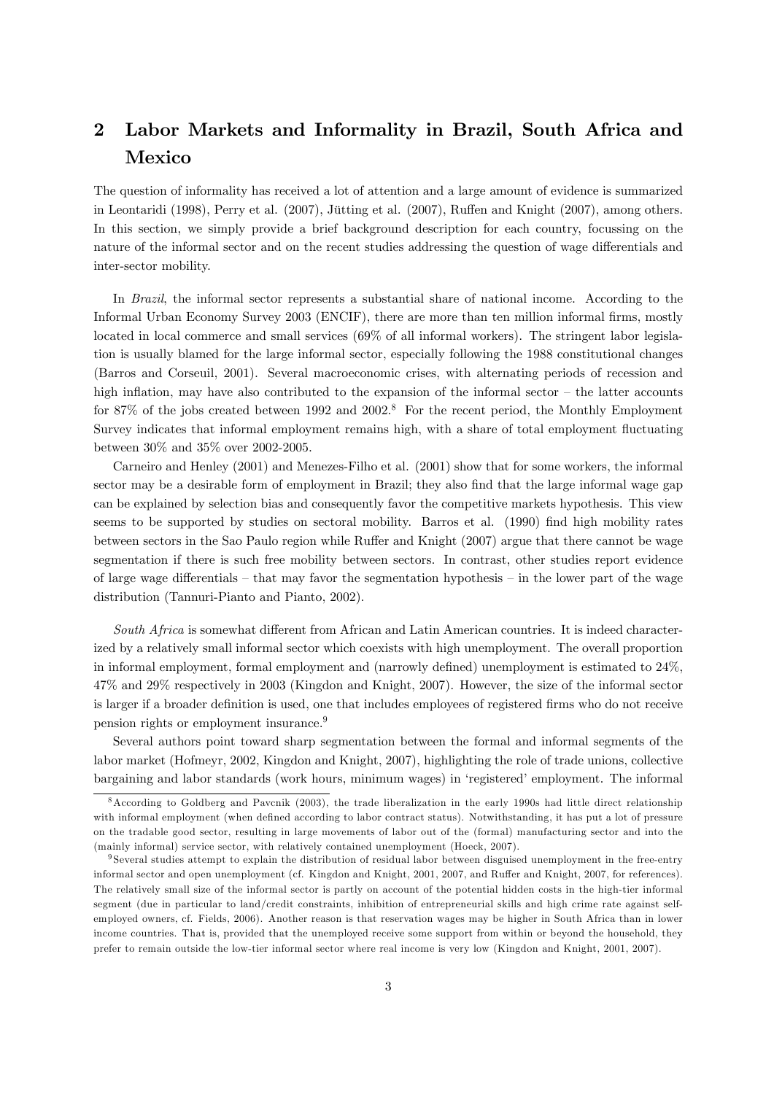## 2 Labor Markets and Informality in Brazil, South Africa and Mexico

The question of informality has received a lot of attention and a large amount of evidence is summarized in Leontaridi (1998), Perry et al. (2007), Jütting et al. (2007), Ruffen and Knight (2007), among others. In this section, we simply provide a brief background description for each country, focussing on the nature of the informal sector and on the recent studies addressing the question of wage differentials and inter-sector mobility.

In Brazil, the informal sector represents a substantial share of national income. According to the Informal Urban Economy Survey 2003 (ENCIF), there are more than ten million informal firms, mostly located in local commerce and small services (69% of all informal workers). The stringent labor legislation is usually blamed for the large informal sector, especially following the 1988 constitutional changes (Barros and Corseuil, 2001). Several macroeconomic crises, with alternating periods of recession and high inflation, may have also contributed to the expansion of the informal sector  $-$  the latter accounts for 87% of the jobs created between 1992 and 2002.<sup>8</sup> For the recent period, the Monthly Employment Survey indicates that informal employment remains high, with a share of total employment fluctuating between 30% and 35% over 2002-2005.

Carneiro and Henley (2001) and Menezes-Filho et al. (2001) show that for some workers, the informal sector may be a desirable form of employment in Brazil; they also find that the large informal wage gap can be explained by selection bias and consequently favor the competitive markets hypothesis. This view seems to be supported by studies on sectoral mobility. Barros et al. (1990) find high mobility rates between sectors in the Sao Paulo region while Ruffer and Knight (2007) argue that there cannot be wage segmentation if there is such free mobility between sectors. In contrast, other studies report evidence of large wage differentials  $-$  that may favor the segmentation hypothesis  $-$  in the lower part of the wage distribution (Tannuri-Pianto and Pianto, 2002).

South Africa is somewhat different from African and Latin American countries. It is indeed characterized by a relatively small informal sector which coexists with high unemployment. The overall proportion in informal employment, formal employment and (narrowly defined) unemployment is estimated to  $24\%$ . 47% and 29% respectively in 2003 (Kingdon and Knight, 2007). However, the size of the informal sector is larger if a broader definition is used, one that includes employees of registered firms who do not receive pension rights or employment insurance.<sup>9</sup>

Several authors point toward sharp segmentation between the formal and informal segments of the labor market (Hofmeyr, 2002, Kingdon and Knight, 2007), highlighting the role of trade unions, collective bargaining and labor standards (work hours, minimum wages) in 'registered' employment. The informal

<sup>8</sup>According to Goldberg and Pavcnik (2003), the trade liberalization in the early 1990s had little direct relationship with informal employment (when defined according to labor contract status). Notwithstanding, it has put a lot of pressure on the tradable good sector, resulting in large movements of labor out of the (formal) manufacturing sector and into the (mainly informal) service sector, with relatively contained unemployment (Hoeck, 2007).

<sup>9</sup> Several studies attempt to explain the distribution of residual labor between disguised unemployment in the free-entry informal sector and open unemployment (cf. Kingdon and Knight, 2001, 2007, and Ruffer and Knight, 2007, for references). The relatively small size of the informal sector is partly on account of the potential hidden costs in the high-tier informal segment (due in particular to land/credit constraints, inhibition of entrepreneurial skills and high crime rate against selfemployed owners, cf. Fields, 2006). Another reason is that reservation wages may be higher in South Africa than in lower income countries. That is, provided that the unemployed receive some support from within or beyond the household, they prefer to remain outside the low-tier informal sector where real income is very low (Kingdon and Knight, 2001, 2007).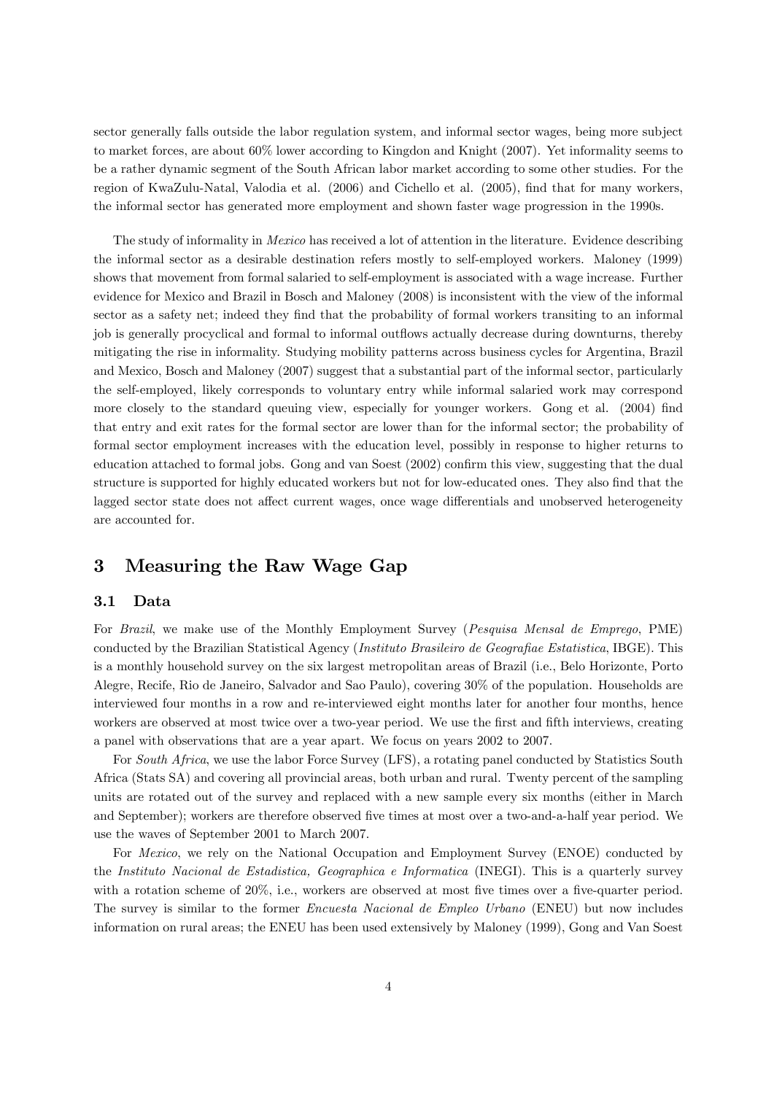sector generally falls outside the labor regulation system, and informal sector wages, being more subject to market forces, are about 60% lower according to Kingdon and Knight (2007). Yet informality seems to be a rather dynamic segment of the South African labor market according to some other studies. For the region of KwaZulu-Natal, Valodia et al. (2006) and Cichello et al. (2005), find that for many workers, the informal sector has generated more employment and shown faster wage progression in the 1990s.

The study of informality in *Mexico* has received a lot of attention in the literature. Evidence describing the informal sector as a desirable destination refers mostly to self-employed workers. Maloney (1999) shows that movement from formal salaried to self-employment is associated with a wage increase. Further evidence for Mexico and Brazil in Bosch and Maloney (2008) is inconsistent with the view of the informal sector as a safety net; indeed they find that the probability of formal workers transiting to an informal job is generally procyclical and formal to informal outflows actually decrease during downturns, thereby mitigating the rise in informality. Studying mobility patterns across business cycles for Argentina, Brazil and Mexico, Bosch and Maloney (2007) suggest that a substantial part of the informal sector, particularly the self-employed, likely corresponds to voluntary entry while informal salaried work may correspond more closely to the standard queuing view, especially for younger workers. Gong et al. (2004) find that entry and exit rates for the formal sector are lower than for the informal sector; the probability of formal sector employment increases with the education level, possibly in response to higher returns to education attached to formal jobs. Gong and van Soest (2002) confirm this view, suggesting that the dual structure is supported for highly educated workers but not for low-educated ones. They also find that the lagged sector state does not affect current wages, once wage differentials and unobserved heterogeneity are accounted for.

## 3 Measuring the Raw Wage Gap

#### 3.1 Data

For Brazil, we make use of the Monthly Employment Survey (Pesquisa Mensal de Emprego, PME) conducted by the Brazilian Statistical Agency (Instituto Brasileiro de Geografiae Estatistica, IBGE). This is a monthly household survey on the six largest metropolitan areas of Brazil (i.e., Belo Horizonte, Porto Alegre, Recife, Rio de Janeiro, Salvador and Sao Paulo), covering 30% of the population. Households are interviewed four months in a row and re-interviewed eight months later for another four months, hence workers are observed at most twice over a two-year period. We use the first and fifth interviews, creating a panel with observations that are a year apart. We focus on years 2002 to 2007.

For South Africa, we use the labor Force Survey (LFS), a rotating panel conducted by Statistics South Africa (Stats SA) and covering all provincial areas, both urban and rural. Twenty percent of the sampling units are rotated out of the survey and replaced with a new sample every six months (either in March and September); workers are therefore observed five times at most over a two-and-a-half year period. We use the waves of September 2001 to March 2007.

For *Mexico*, we rely on the National Occupation and Employment Survey (ENOE) conducted by the Instituto Nacional de Estadistica, Geographica e Informatica (INEGI). This is a quarterly survey with a rotation scheme of  $20\%$ , i.e., workers are observed at most five times over a five-quarter period. The survey is similar to the former Encuesta Nacional de Empleo Urbano (ENEU) but now includes information on rural areas; the ENEU has been used extensively by Maloney (1999), Gong and Van Soest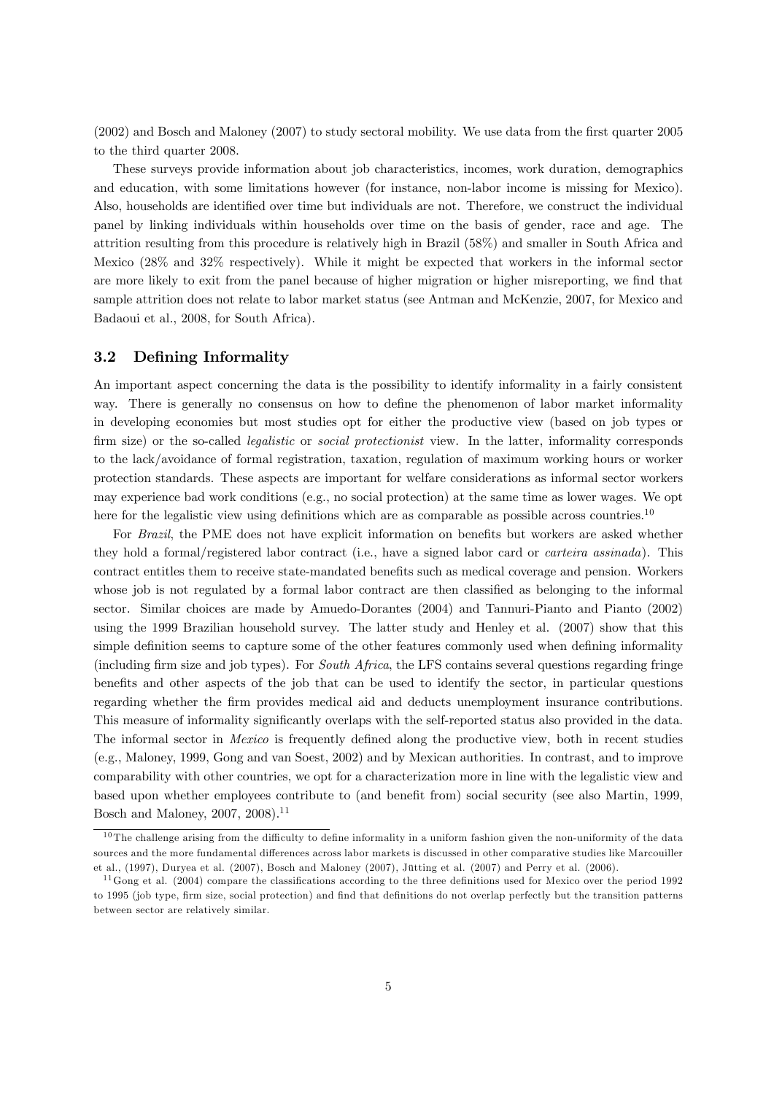(2002) and Bosch and Maloney (2007) to study sectoral mobility. We use data from the Örst quarter 2005 to the third quarter 2008.

These surveys provide information about job characteristics, incomes, work duration, demographics and education, with some limitations however (for instance, non-labor income is missing for Mexico). Also, households are identified over time but individuals are not. Therefore, we construct the individual panel by linking individuals within households over time on the basis of gender, race and age. The attrition resulting from this procedure is relatively high in Brazil (58%) and smaller in South Africa and Mexico (28% and 32% respectively). While it might be expected that workers in the informal sector are more likely to exit from the panel because of higher migration or higher misreporting, we find that sample attrition does not relate to labor market status (see Antman and McKenzie, 2007, for Mexico and Badaoui et al., 2008, for South Africa).

#### 3.2 Defining Informality

An important aspect concerning the data is the possibility to identify informality in a fairly consistent way. There is generally no consensus on how to define the phenomenon of labor market informality in developing economies but most studies opt for either the productive view (based on job types or firm size) or the so-called *legalistic* or *social protectionist* view. In the latter, informality corresponds to the lack/avoidance of formal registration, taxation, regulation of maximum working hours or worker protection standards. These aspects are important for welfare considerations as informal sector workers may experience bad work conditions (e.g., no social protection) at the same time as lower wages. We opt here for the legalistic view using definitions which are as comparable as possible across countries.<sup>10</sup>

For Brazil, the PME does not have explicit information on benefits but workers are asked whether they hold a formal/registered labor contract (i.e., have a signed labor card or carteira assinada). This contract entitles them to receive state-mandated benefits such as medical coverage and pension. Workers whose job is not regulated by a formal labor contract are then classified as belonging to the informal sector. Similar choices are made by Amuedo-Dorantes (2004) and Tannuri-Pianto and Pianto (2002) using the 1999 Brazilian household survey. The latter study and Henley et al. (2007) show that this simple definition seems to capture some of the other features commonly used when defining informality (including firm size and job types). For South Africa, the LFS contains several questions regarding fringe benefits and other aspects of the job that can be used to identify the sector, in particular questions regarding whether the firm provides medical aid and deducts unemployment insurance contributions. This measure of informality significantly overlaps with the self-reported status also provided in the data. The informal sector in *Mexico* is frequently defined along the productive view, both in recent studies (e.g., Maloney, 1999, Gong and van Soest, 2002) and by Mexican authorities. In contrast, and to improve comparability with other countries, we opt for a characterization more in line with the legalistic view and based upon whether employees contribute to (and benefit from) social security (see also Martin, 1999, Bosch and Maloney, 2007, 2008).<sup>11</sup>

 $10$  The challenge arising from the difficulty to define informality in a uniform fashion given the non-uniformity of the data sources and the more fundamental differences across labor markets is discussed in other comparative studies like Marcouiller et al.,  $(1997)$ , Duryea et al.  $(2007)$ , Bosch and Maloney  $(2007)$ , Jütting et al.  $(2007)$  and Perry et al.  $(2006)$ .

 $11$  Gong et al. (2004) compare the classifications according to the three definitions used for Mexico over the period 1992 to 1995 (job type, firm size, social protection) and find that definitions do not overlap perfectly but the transition patterns between sector are relatively similar.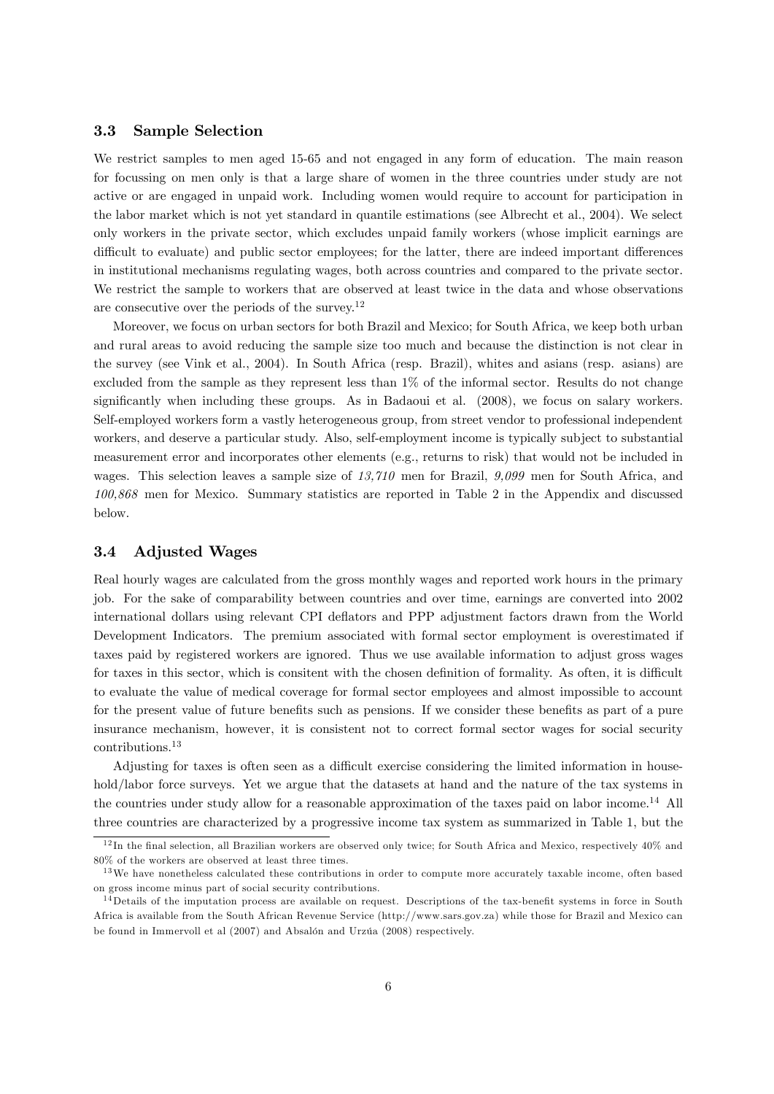#### 3.3 Sample Selection

We restrict samples to men aged 15-65 and not engaged in any form of education. The main reason for focussing on men only is that a large share of women in the three countries under study are not active or are engaged in unpaid work. Including women would require to account for participation in the labor market which is not yet standard in quantile estimations (see Albrecht et al., 2004). We select only workers in the private sector, which excludes unpaid family workers (whose implicit earnings are difficult to evaluate) and public sector employees; for the latter, there are indeed important differences in institutional mechanisms regulating wages, both across countries and compared to the private sector. We restrict the sample to workers that are observed at least twice in the data and whose observations are consecutive over the periods of the survey.<sup>12</sup>

Moreover, we focus on urban sectors for both Brazil and Mexico; for South Africa, we keep both urban and rural areas to avoid reducing the sample size too much and because the distinction is not clear in the survey (see Vink et al., 2004). In South Africa (resp. Brazil), whites and asians (resp. asians) are excluded from the sample as they represent less than 1% of the informal sector. Results do not change significantly when including these groups. As in Badaoui et al. (2008), we focus on salary workers. Self-employed workers form a vastly heterogeneous group, from street vendor to professional independent workers, and deserve a particular study. Also, self-employment income is typically subject to substantial measurement error and incorporates other elements (e.g., returns to risk) that would not be included in wages. This selection leaves a sample size of 13,710 men for Brazil, 9,099 men for South Africa, and 100,868 men for Mexico. Summary statistics are reported in Table 2 in the Appendix and discussed below.

#### 3.4 Adjusted Wages

Real hourly wages are calculated from the gross monthly wages and reported work hours in the primary job. For the sake of comparability between countries and over time, earnings are converted into 2002 international dollars using relevant CPI deáators and PPP adjustment factors drawn from the World Development Indicators. The premium associated with formal sector employment is overestimated if taxes paid by registered workers are ignored. Thus we use available information to adjust gross wages for taxes in this sector, which is consitent with the chosen definition of formality. As often, it is difficult to evaluate the value of medical coverage for formal sector employees and almost impossible to account for the present value of future benefits such as pensions. If we consider these benefits as part of a pure insurance mechanism, however, it is consistent not to correct formal sector wages for social security contributions.<sup>13</sup>

Adjusting for taxes is often seen as a difficult exercise considering the limited information in household/labor force surveys. Yet we argue that the datasets at hand and the nature of the tax systems in the countries under study allow for a reasonable approximation of the taxes paid on labor income.<sup>14</sup> All three countries are characterized by a progressive income tax system as summarized in Table 1, but the

 $12$  In the final selection, all Brazilian workers are observed only twice; for South Africa and Mexico, respectively 40% and 80% of the workers are observed at least three times.

<sup>&</sup>lt;sup>13</sup> We have nonetheless calculated these contributions in order to compute more accurately taxable income, often based on gross income minus part of social security contributions.

 $14$  Details of the imputation process are available on request. Descriptions of the tax-benefit systems in force in South Africa is available from the South African Revenue Service (http://www.sars.gov.za) while those for Brazil and Mexico can be found in Immervoll et al  $(2007)$  and Absalón and Urzúa  $(2008)$  respectively.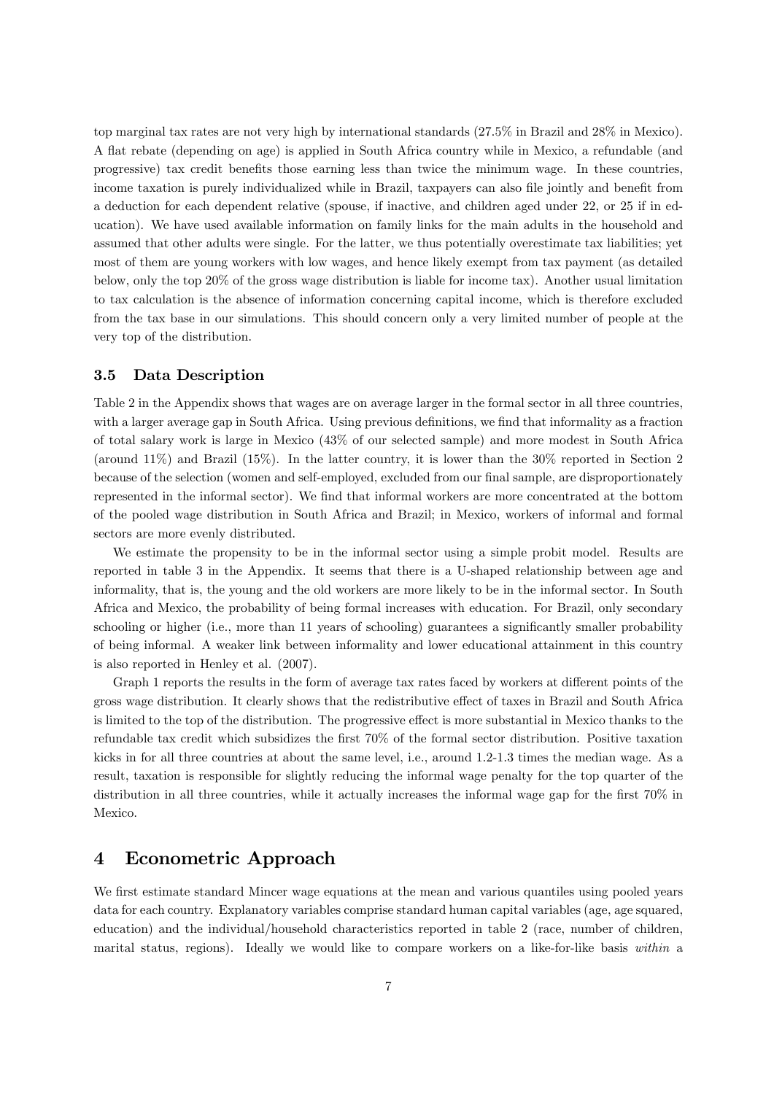top marginal tax rates are not very high by international standards (27.5% in Brazil and 28% in Mexico). A áat rebate (depending on age) is applied in South Africa country while in Mexico, a refundable (and progressive) tax credit benefits those earning less than twice the minimum wage. In these countries, income taxation is purely individualized while in Brazil, taxpayers can also file jointly and benefit from a deduction for each dependent relative (spouse, if inactive, and children aged under 22, or 25 if in education). We have used available information on family links for the main adults in the household and assumed that other adults were single. For the latter, we thus potentially overestimate tax liabilities; yet most of them are young workers with low wages, and hence likely exempt from tax payment (as detailed below, only the top 20% of the gross wage distribution is liable for income tax). Another usual limitation to tax calculation is the absence of information concerning capital income, which is therefore excluded from the tax base in our simulations. This should concern only a very limited number of people at the very top of the distribution.

#### 3.5 Data Description

Table 2 in the Appendix shows that wages are on average larger in the formal sector in all three countries, with a larger average gap in South Africa. Using previous definitions, we find that informality as a fraction of total salary work is large in Mexico (43% of our selected sample) and more modest in South Africa (around 11%) and Brazil (15%). In the latter country, it is lower than the 30% reported in Section 2 because of the selection (women and self-employed, excluded from our final sample, are disproportionately represented in the informal sector). We find that informal workers are more concentrated at the bottom of the pooled wage distribution in South Africa and Brazil; in Mexico, workers of informal and formal sectors are more evenly distributed.

We estimate the propensity to be in the informal sector using a simple probit model. Results are reported in table 3 in the Appendix. It seems that there is a U-shaped relationship between age and informality, that is, the young and the old workers are more likely to be in the informal sector. In South Africa and Mexico, the probability of being formal increases with education. For Brazil, only secondary schooling or higher (i.e., more than 11 years of schooling) guarantees a significantly smaller probability of being informal. A weaker link between informality and lower educational attainment in this country is also reported in Henley et al. (2007).

Graph 1 reports the results in the form of average tax rates faced by workers at different points of the gross wage distribution. It clearly shows that the redistributive effect of taxes in Brazil and South Africa is limited to the top of the distribution. The progressive effect is more substantial in Mexico thanks to the refundable tax credit which subsidizes the first 70% of the formal sector distribution. Positive taxation kicks in for all three countries at about the same level, i.e., around 1.2-1.3 times the median wage. As a result, taxation is responsible for slightly reducing the informal wage penalty for the top quarter of the distribution in all three countries, while it actually increases the informal wage gap for the first  $70\%$  in Mexico.

## 4 Econometric Approach

We first estimate standard Mincer wage equations at the mean and various quantiles using pooled years data for each country. Explanatory variables comprise standard human capital variables (age, age squared, education) and the individual/household characteristics reported in table 2 (race, number of children, marital status, regions). Ideally we would like to compare workers on a like-for-like basis within a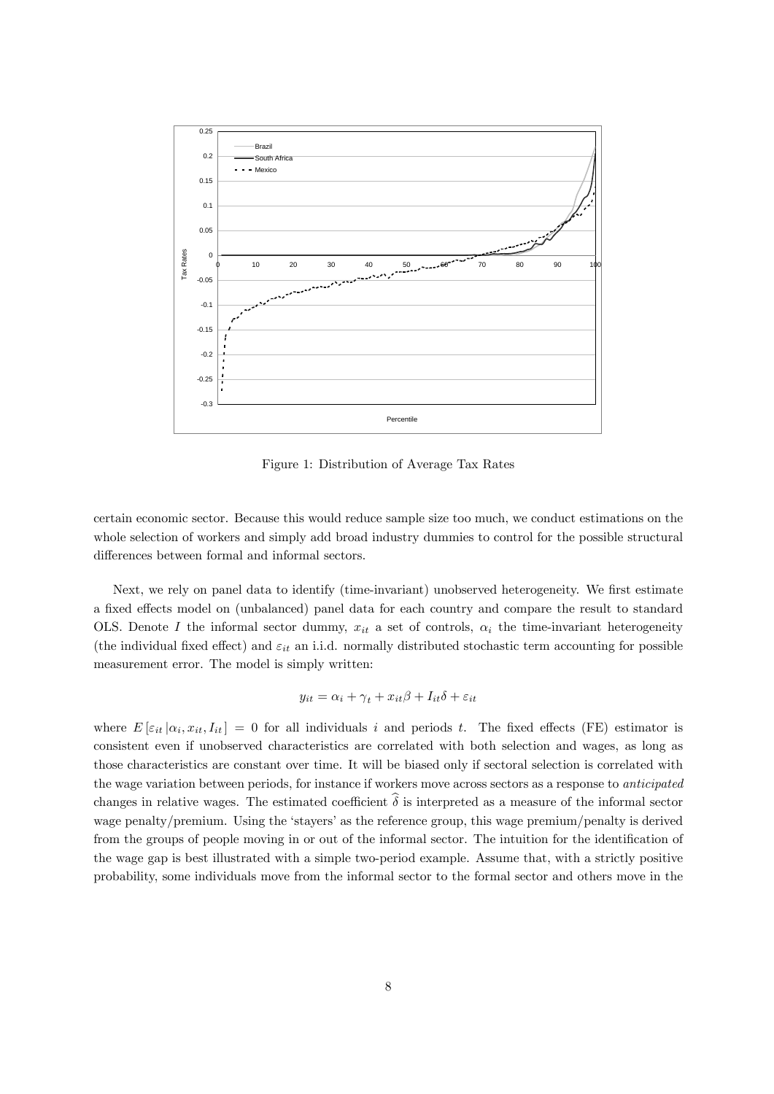

Figure 1: Distribution of Average Tax Rates

certain economic sector. Because this would reduce sample size too much, we conduct estimations on the whole selection of workers and simply add broad industry dummies to control for the possible structural differences between formal and informal sectors.

Next, we rely on panel data to identify (time-invariant) unobserved heterogeneity. We first estimate a fixed effects model on (unbalanced) panel data for each country and compare the result to standard OLS. Denote I the informal sector dummy,  $x_{it}$  a set of controls,  $\alpha_i$  the time-invariant heterogeneity (the individual fixed effect) and  $\varepsilon_{it}$  an i.i.d. normally distributed stochastic term accounting for possible measurement error. The model is simply written:

$$
y_{it} = \alpha_i + \gamma_t + x_{it}\beta + I_{it}\delta + \varepsilon_{it}
$$

where  $E[\varepsilon_{it}|\alpha_i,x_{it},I_{it}] = 0$  for all individuals i and periods t. The fixed effects (FE) estimator is consistent even if unobserved characteristics are correlated with both selection and wages, as long as those characteristics are constant over time. It will be biased only if sectoral selection is correlated with the wage variation between periods, for instance if workers move across sectors as a response to anticipated changes in relative wages. The estimated coefficient  $\hat{\delta}$  is interpreted as a measure of the informal sector wage penalty/premium. Using the 'stayers' as the reference group, this wage premium/penalty is derived from the groups of people moving in or out of the informal sector. The intuition for the identification of the wage gap is best illustrated with a simple two-period example. Assume that, with a strictly positive probability, some individuals move from the informal sector to the formal sector and others move in the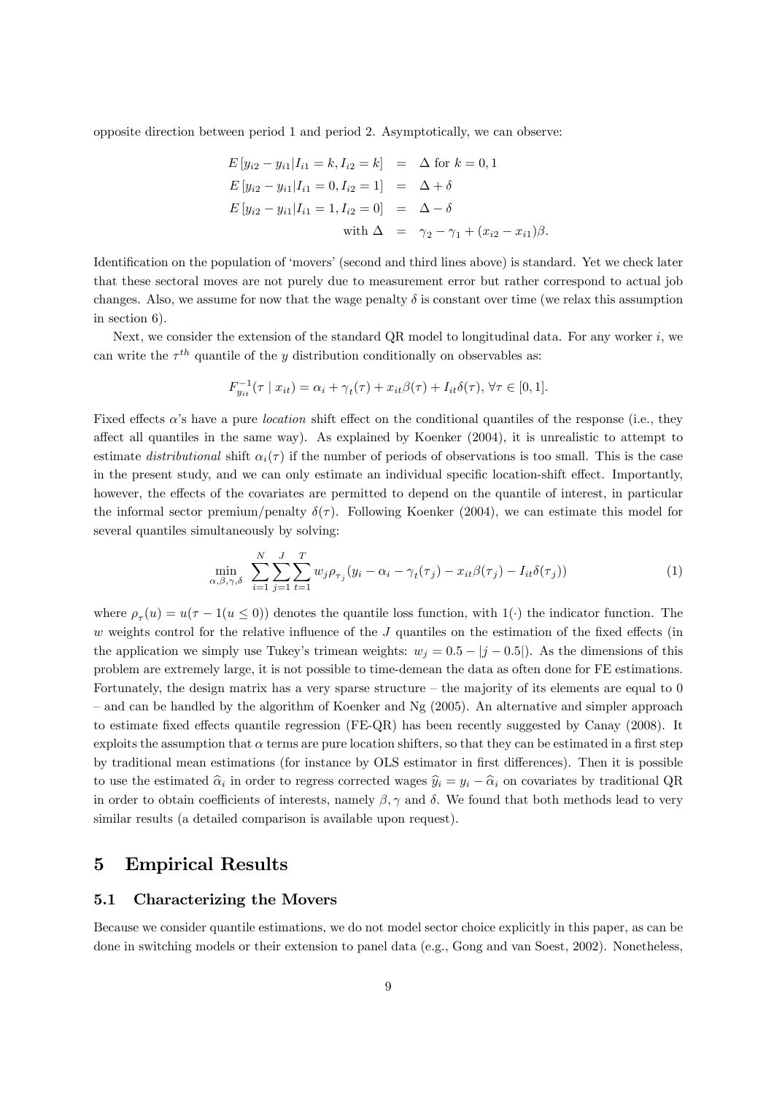opposite direction between period 1 and period 2. Asymptotically, we can observe:

$$
E[y_{i2} - y_{i1} | I_{i1} = k, I_{i2} = k] = \Delta \text{ for } k = 0, 1
$$
  
\n
$$
E[y_{i2} - y_{i1} | I_{i1} = 0, I_{i2} = 1] = \Delta + \delta
$$
  
\n
$$
E[y_{i2} - y_{i1} | I_{i1} = 1, I_{i2} = 0] = \Delta - \delta
$$
  
\nwith  $\Delta = \gamma_2 - \gamma_1 + (x_{i2} - x_{i1})\beta$ .

Identification on the population of 'movers' (second and third lines above) is standard. Yet we check later that these sectoral moves are not purely due to measurement error but rather correspond to actual job changes. Also, we assume for now that the wage penalty  $\delta$  is constant over time (we relax this assumption in section 6).

Next, we consider the extension of the standard QR model to longitudinal data. For any worker  $i$ , we can write the  $\tau^{th}$  quantile of the y distribution conditionally on observables as:

$$
F_{y_{it}}^{-1}(\tau \mid x_{it}) = \alpha_i + \gamma_t(\tau) + x_{it}\beta(\tau) + I_{it}\delta(\tau), \forall \tau \in [0,1].
$$

Fixed effects  $\alpha$ 's have a pure *location* shift effect on the conditional quantiles of the response (i.e., they affect all quantiles in the same way). As explained by Koenker (2004), it is unrealistic to attempt to estimate distributional shift  $\alpha_i(\tau)$  if the number of periods of observations is too small. This is the case in the present study, and we can only estimate an individual specific location-shift effect. Importantly, however, the effects of the covariates are permitted to depend on the quantile of interest, in particular the informal sector premium/penalty  $\delta(\tau)$ . Following Koenker (2004), we can estimate this model for several quantiles simultaneously by solving:

$$
\min_{\alpha,\beta,\gamma,\delta} \sum_{i=1}^{N} \sum_{j=1}^{J} \sum_{t=1}^{T} w_j \rho_{\tau_j} (y_i - \alpha_i - \gamma_t(\tau_j) - x_{it}\beta(\tau_j) - I_{it}\delta(\tau_j)) \tag{1}
$$

where  $\rho_{\tau}(u) = u(\tau - 1(u \le 0))$  denotes the quantile loss function, with  $1(\cdot)$  the indicator function. The  $w$  weights control for the relative influence of the  $J$  quantiles on the estimation of the fixed effects (in the application we simply use Tukey's trimean weights:  $w_j = 0.5 - |j - 0.5|$ . As the dimensions of this problem are extremely large, it is not possible to time-demean the data as often done for FE estimations. Fortunately, the design matrix has a very sparse structure  $-$  the majority of its elements are equal to 0  $\alpha$  – and can be handled by the algorithm of Koenker and Ng (2005). An alternative and simpler approach to estimate fixed effects quantile regression  $(FE-QR)$  has been recently suggested by Canay (2008). It exploits the assumption that  $\alpha$  terms are pure location shifters, so that they can be estimated in a first step by traditional mean estimations (for instance by OLS estimator in first differences). Then it is possible to use the estimated  $\hat{\alpha}_i$  in order to regress corrected wages  $\hat{y}_i = y_i - \hat{\alpha}_i$  on covariates by traditional QR in order to obtain coefficients of interests, namely  $\beta$ ,  $\gamma$  and  $\delta$ . We found that both methods lead to very similar results (a detailed comparison is available upon request).

## 5 Empirical Results

#### 5.1 Characterizing the Movers

Because we consider quantile estimations, we do not model sector choice explicitly in this paper, as can be done in switching models or their extension to panel data (e.g., Gong and van Soest, 2002). Nonetheless,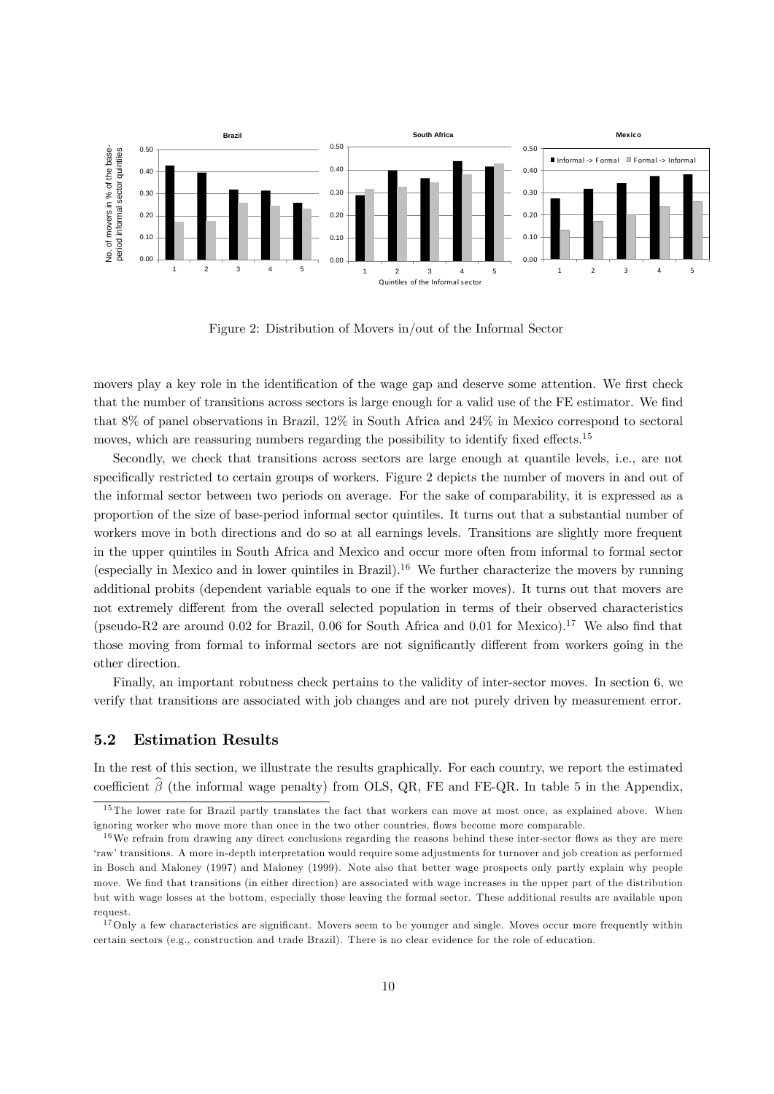

Figure 2: Distribution of Movers in/out of the Informal Sector

movers play a key role in the identification of the wage gap and deserve some attention. We first check that the number of transitions across sectors is large enough for a valid use of the FE estimator. We find that 8% of panel observations in Brazil, 12% in South Africa and 24% in Mexico correspond to sectoral moves, which are reassuring numbers regarding the possibility to identify fixed effects.<sup>15</sup>

Secondly, we check that transitions across sectors are large enough at quantile levels, i.e., are not specifically restricted to certain groups of workers. Figure 2 depicts the number of movers in and out of the informal sector between two periods on average. For the sake of comparability, it is expressed as a proportion of the size of base-period informal sector quintiles. It turns out that a substantial number of workers move in both directions and do so at all earnings levels. Transitions are slightly more frequent in the upper quintiles in South Africa and Mexico and occur more often from informal to formal sector (especially in Mexico and in lower quintiles in Brazil).<sup>16</sup> We further characterize the movers by running additional probits (dependent variable equals to one if the worker moves). It turns out that movers are not extremely different from the overall selected population in terms of their observed characteristics (pseudo-R2 are around 0.02 for Brazil, 0.06 for South Africa and 0.01 for Mexico).<sup>17</sup> We also find that those moving from formal to informal sectors are not significantly different from workers going in the other direction.

Finally, an important robutness check pertains to the validity of inter-sector moves. In section 6, we verify that transitions are associated with job changes and are not purely driven by measurement error.

#### 5.2 Estimation Results

In the rest of this section, we illustrate the results graphically. For each country, we report the estimated coefficient  $\hat{\beta}$  (the informal wage penalty) from OLS, QR, FE and FE-QR. In table 5 in the Appendix,

<sup>&</sup>lt;sup>15</sup> The lower rate for Brazil partly translates the fact that workers can move at most once, as explained above. When ignoring worker who move more than once in the two other countries, flows become more comparable.

 $16$  We refrain from drawing any direct conclusions regarding the reasons behind these inter-sector flows as they are mere ërawítransitions. A more in-depth interpretation would require some adjustments for turnover and job creation as performed in Bosch and Maloney (1997) and Maloney (1999). Note also that better wage prospects only partly explain why people move. We find that transitions (in either direction) are associated with wage increases in the upper part of the distribution but with wage losses at the bottom, especially those leaving the formal sector. These additional results are available upon request.

 $17$  Only a few characteristics are significant. Movers seem to be younger and single. Moves occur more frequently within certain sectors (e.g., construction and trade Brazil). There is no clear evidence for the role of education.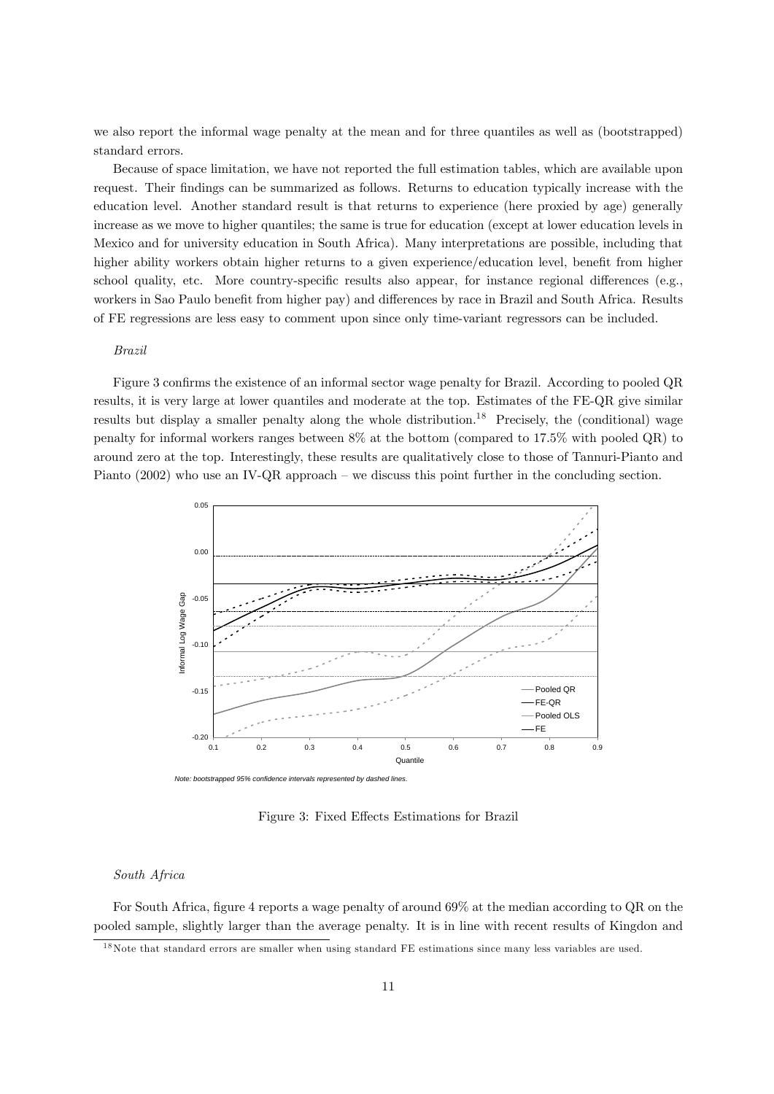we also report the informal wage penalty at the mean and for three quantiles as well as (bootstrapped) standard errors.

Because of space limitation, we have not reported the full estimation tables, which are available upon request. Their Öndings can be summarized as follows. Returns to education typically increase with the education level. Another standard result is that returns to experience (here proxied by age) generally increase as we move to higher quantiles; the same is true for education (except at lower education levels in Mexico and for university education in South Africa). Many interpretations are possible, including that higher ability workers obtain higher returns to a given experience/education level, benefit from higher school quality, etc. More country-specific results also appear, for instance regional differences (e.g., workers in Sao Paulo benefit from higher pay) and differences by race in Brazil and South Africa. Results of FE regressions are less easy to comment upon since only time-variant regressors can be included.

#### Brazil

Figure 3 confirms the existence of an informal sector wage penalty for Brazil. According to pooled QR results, it is very large at lower quantiles and moderate at the top. Estimates of the FE-QR give similar results but display a smaller penalty along the whole distribution.<sup>18</sup> Precisely, the (conditional) wage penalty for informal workers ranges between 8% at the bottom (compared to 17.5% with pooled QR) to around zero at the top. Interestingly, these results are qualitatively close to those of Tannuri-Pianto and Pianto  $(2002)$  who use an IV-QR approach – we discuss this point further in the concluding section.



Figure 3: Fixed Effects Estimations for Brazil

#### South Africa

For South Africa, figure 4 reports a wage penalty of around 69% at the median according to QR on the pooled sample, slightly larger than the average penalty. It is in line with recent results of Kingdon and

<sup>&</sup>lt;sup>18</sup>Note that standard errors are smaller when using standard FE estimations since many less variables are used.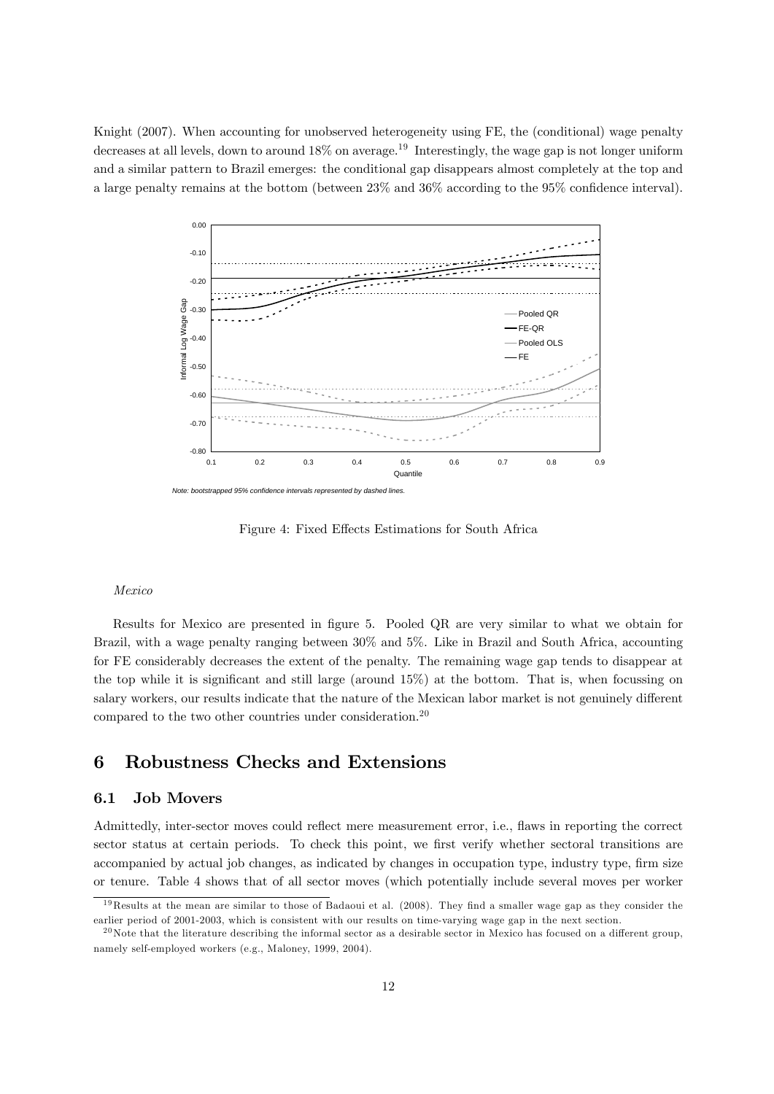Knight (2007). When accounting for unobserved heterogeneity using FE, the (conditional) wage penalty decreases at all levels, down to around 18% on average.<sup>19</sup> Interestingly, the wage gap is not longer uniform and a similar pattern to Brazil emerges: the conditional gap disappears almost completely at the top and a large penalty remains at the bottom (between  $23\%$  and  $36\%$  according to the  $95\%$  confidence interval).



Figure 4: Fixed Effects Estimations for South Africa

#### Mexico

Results for Mexico are presented in figure 5. Pooled QR are very similar to what we obtain for Brazil, with a wage penalty ranging between 30% and 5%. Like in Brazil and South Africa, accounting for FE considerably decreases the extent of the penalty. The remaining wage gap tends to disappear at the top while it is significant and still large (around  $15\%$ ) at the bottom. That is, when focussing on salary workers, our results indicate that the nature of the Mexican labor market is not genuinely different compared to the two other countries under consideration.<sup>20</sup>

## 6 Robustness Checks and Extensions

#### 6.1 Job Movers

Admittedly, inter-sector moves could reflect mere measurement error, i.e., flaws in reporting the correct sector status at certain periods. To check this point, we first verify whether sectoral transitions are accompanied by actual job changes, as indicated by changes in occupation type, industry type, firm size or tenure. Table 4 shows that of all sector moves (which potentially include several moves per worker

<sup>&</sup>lt;sup>19</sup>Results at the mean are similar to those of Badaoui et al.  $(2008)$ . They find a smaller wage gap as they consider the earlier period of 2001-2003, which is consistent with our results on time-varying wage gap in the next section.

 $^{20}$ Note that the literature describing the informal sector as a desirable sector in Mexico has focused on a different group, namely self-employed workers (e.g., Maloney, 1999, 2004).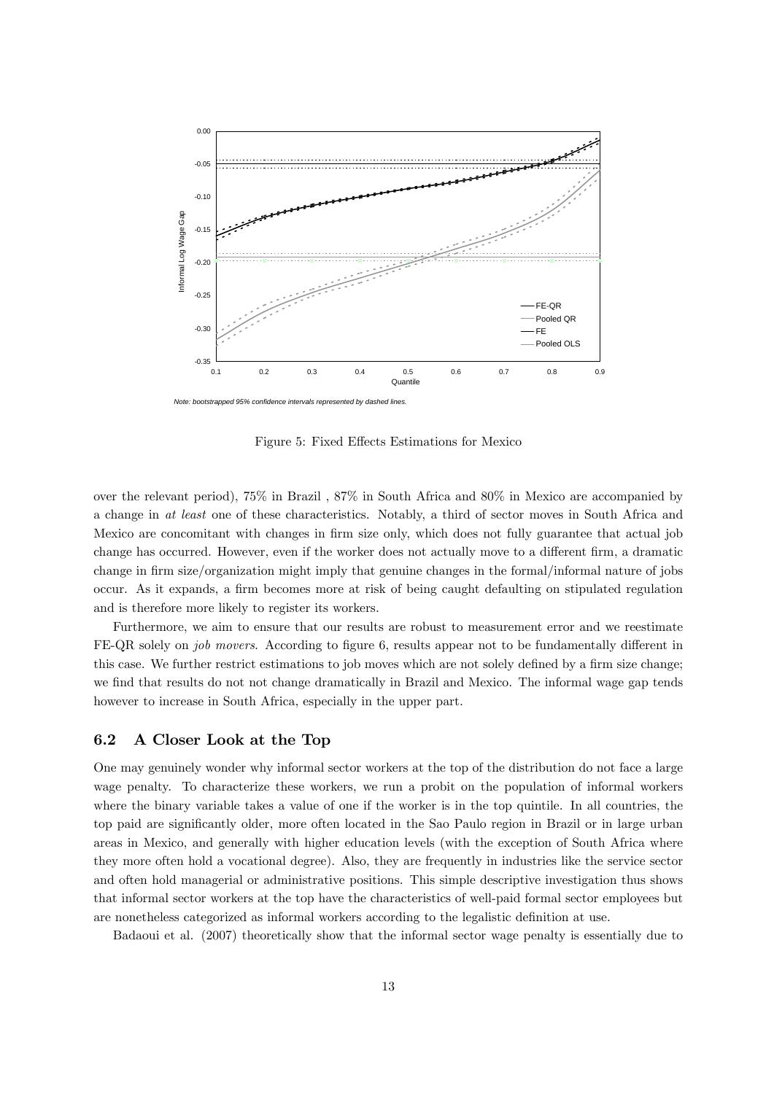

Figure 5: Fixed Effects Estimations for Mexico

over the relevant period), 75% in Brazil , 87% in South Africa and 80% in Mexico are accompanied by a change in at least one of these characteristics. Notably, a third of sector moves in South Africa and Mexico are concomitant with changes in firm size only, which does not fully guarantee that actual job change has occurred. However, even if the worker does not actually move to a different firm, a dramatic change in firm size/organization might imply that genuine changes in the formal/informal nature of jobs occur. As it expands, a firm becomes more at risk of being caught defaulting on stipulated regulation and is therefore more likely to register its workers.

Furthermore, we aim to ensure that our results are robust to measurement error and we reestimate FE-QR solely on *job movers*. According to figure 6, results appear not to be fundamentally different in this case. We further restrict estimations to job moves which are not solely defined by a firm size change; we find that results do not not change dramatically in Brazil and Mexico. The informal wage gap tends however to increase in South Africa, especially in the upper part.

#### 6.2 A Closer Look at the Top

One may genuinely wonder why informal sector workers at the top of the distribution do not face a large wage penalty. To characterize these workers, we run a probit on the population of informal workers where the binary variable takes a value of one if the worker is in the top quintile. In all countries, the top paid are significantly older, more often located in the Sao Paulo region in Brazil or in large urban areas in Mexico, and generally with higher education levels (with the exception of South Africa where they more often hold a vocational degree). Also, they are frequently in industries like the service sector and often hold managerial or administrative positions. This simple descriptive investigation thus shows that informal sector workers at the top have the characteristics of well-paid formal sector employees but are nonetheless categorized as informal workers according to the legalistic definition at use.

Badaoui et al. (2007) theoretically show that the informal sector wage penalty is essentially due to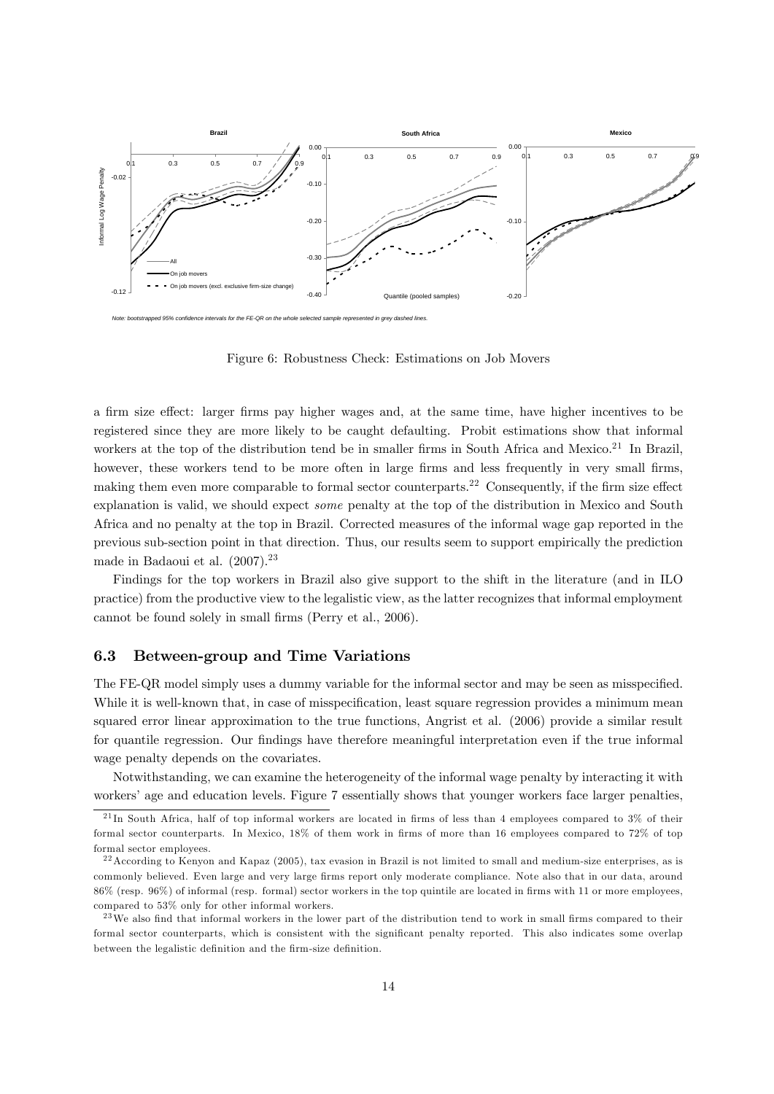

Figure 6: Robustness Check: Estimations on Job Movers

a firm size effect: larger firms pay higher wages and, at the same time, have higher incentives to be registered since they are more likely to be caught defaulting. Probit estimations show that informal workers at the top of the distribution tend be in smaller firms in South Africa and Mexico.<sup>21</sup> In Brazil, however, these workers tend to be more often in large firms and less frequently in very small firms, making them even more comparable to formal sector counterparts.<sup>22</sup> Consequently, if the firm size effect explanation is valid, we should expect some penalty at the top of the distribution in Mexico and South Africa and no penalty at the top in Brazil. Corrected measures of the informal wage gap reported in the previous sub-section point in that direction. Thus, our results seem to support empirically the prediction made in Badaoui et al.  $(2007).^{23}$ 

Findings for the top workers in Brazil also give support to the shift in the literature (and in ILO practice) from the productive view to the legalistic view, as the latter recognizes that informal employment cannot be found solely in small firms (Perry et al., 2006).

#### 6.3 Between-group and Time Variations

The FE-QR model simply uses a dummy variable for the informal sector and may be seen as misspecified. While it is well-known that, in case of misspecification, least square regression provides a minimum mean squared error linear approximation to the true functions, Angrist et al. (2006) provide a similar result for quantile regression. Our findings have therefore meaningful interpretation even if the true informal wage penalty depends on the covariates.

Notwithstanding, we can examine the heterogeneity of the informal wage penalty by interacting it with workers' age and education levels. Figure 7 essentially shows that younger workers face larger penalties,

 $^{21}$ In South Africa, half of top informal workers are located in firms of less than 4 employees compared to 3% of their formal sector counterparts. In Mexico, 18% of them work in firms of more than 16 employees compared to 72% of top formal sector employees.

 $22$  According to Kenyon and Kapaz (2005), tax evasion in Brazil is not limited to small and medium-size enterprises, as is commonly believed. Even large and very large firms report only moderate compliance. Note also that in our data, around  $86\%$  (resp.  $96\%$ ) of informal (resp. formal) sector workers in the top quintile are located in firms with 11 or more employees, compared to 53% only for other informal workers.

 $^{23}$  We also find that informal workers in the lower part of the distribution tend to work in small firms compared to their formal sector counterparts, which is consistent with the significant penalty reported. This also indicates some overlap between the legalistic definition and the firm-size definition.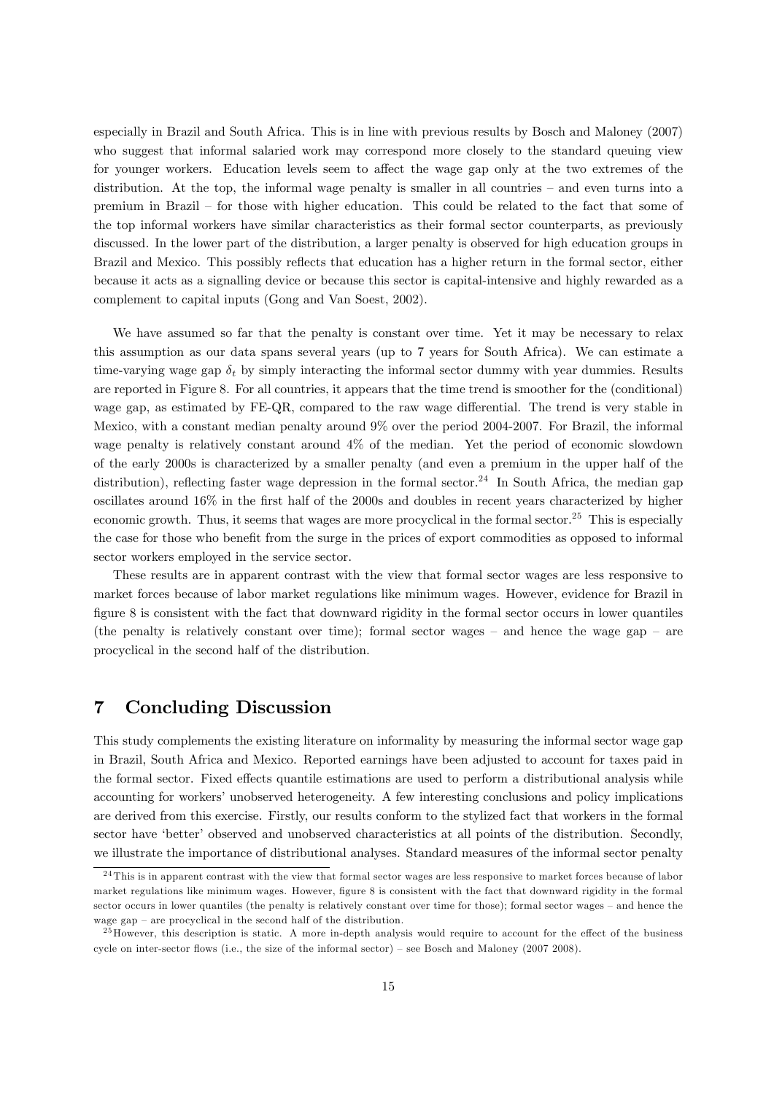especially in Brazil and South Africa. This is in line with previous results by Bosch and Maloney (2007) who suggest that informal salaried work may correspond more closely to the standard queuing view for younger workers. Education levels seem to affect the wage gap only at the two extremes of the distribution. At the top, the informal wage penalty is smaller in all countries  $-$  and even turns into a premium in Brazil – for those with higher education. This could be related to the fact that some of the top informal workers have similar characteristics as their formal sector counterparts, as previously discussed. In the lower part of the distribution, a larger penalty is observed for high education groups in Brazil and Mexico. This possibly reflects that education has a higher return in the formal sector, either because it acts as a signalling device or because this sector is capital-intensive and highly rewarded as a complement to capital inputs (Gong and Van Soest, 2002).

We have assumed so far that the penalty is constant over time. Yet it may be necessary to relax this assumption as our data spans several years (up to 7 years for South Africa). We can estimate a time-varying wage gap  $\delta_t$  by simply interacting the informal sector dummy with year dummies. Results are reported in Figure 8. For all countries, it appears that the time trend is smoother for the (conditional) wage gap, as estimated by FE-QR, compared to the raw wage differential. The trend is very stable in Mexico, with a constant median penalty around 9% over the period 2004-2007. For Brazil, the informal wage penalty is relatively constant around 4% of the median. Yet the period of economic slowdown of the early 2000s is characterized by a smaller penalty (and even a premium in the upper half of the distribution), reflecting faster wage depression in the formal sector.<sup>24</sup> In South Africa, the median gap oscillates around 16% in the first half of the 2000s and doubles in recent years characterized by higher economic growth. Thus, it seems that wages are more procyclical in the formal sector.<sup>25</sup> This is especially the case for those who benefit from the surge in the prices of export commodities as opposed to informal sector workers employed in the service sector.

These results are in apparent contrast with the view that formal sector wages are less responsive to market forces because of labor market regulations like minimum wages. However, evidence for Brazil in figure 8 is consistent with the fact that downward rigidity in the formal sector occurs in lower quantiles (the penalty is relatively constant over time); formal sector wages  $-$  and hence the wage gap  $-$  are procyclical in the second half of the distribution.

## 7 Concluding Discussion

This study complements the existing literature on informality by measuring the informal sector wage gap in Brazil, South Africa and Mexico. Reported earnings have been adjusted to account for taxes paid in the formal sector. Fixed effects quantile estimations are used to perform a distributional analysis while accounting for workers' unobserved heterogeneity. A few interesting conclusions and policy implications are derived from this exercise. Firstly, our results conform to the stylized fact that workers in the formal sector have 'better' observed and unobserved characteristics at all points of the distribution. Secondly, we illustrate the importance of distributional analyses. Standard measures of the informal sector penalty

<sup>&</sup>lt;sup>24</sup> This is in apparent contrast with the view that formal sector wages are less responsive to market forces because of labor market regulations like minimum wages. However, figure 8 is consistent with the fact that downward rigidity in the formal sector occurs in lower quantiles (the penalty is relatively constant over time for those); formal sector wages – and hence the wage gap  $-$  are procyclical in the second half of the distribution.

 $^{25}$  However, this description is static. A more in-depth analysis would require to account for the effect of the business cycle on inter-sector flows (i.e., the size of the informal sector) – see Bosch and Maloney (2007 2008).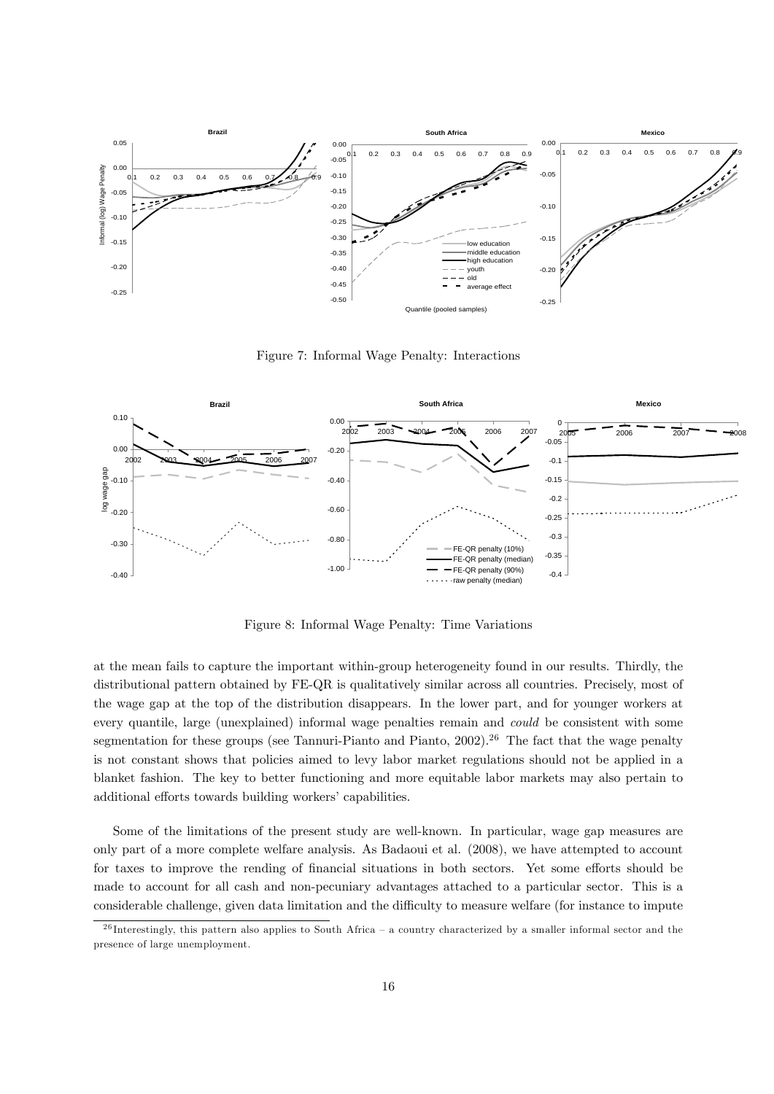

Figure 7: Informal Wage Penalty: Interactions



Figure 8: Informal Wage Penalty: Time Variations

at the mean fails to capture the important within-group heterogeneity found in our results. Thirdly, the distributional pattern obtained by FE-QR is qualitatively similar across all countries. Precisely, most of the wage gap at the top of the distribution disappears. In the lower part, and for younger workers at every quantile, large (unexplained) informal wage penalties remain and could be consistent with some segmentation for these groups (see Tannuri-Pianto and Pianto,  $2002$ ).<sup>26</sup> The fact that the wage penalty is not constant shows that policies aimed to levy labor market regulations should not be applied in a blanket fashion. The key to better functioning and more equitable labor markets may also pertain to additional efforts towards building workers' capabilities.

Some of the limitations of the present study are well-known. In particular, wage gap measures are only part of a more complete welfare analysis. As Badaoui et al. (2008), we have attempted to account for taxes to improve the rending of financial situations in both sectors. Yet some efforts should be made to account for all cash and non-pecuniary advantages attached to a particular sector. This is a considerable challenge, given data limitation and the difficulty to measure welfare (for instance to impute

 $^{26}$  Interestingly, this pattern also applies to South Africa – a country characterized by a smaller informal sector and the presence of large unemployment.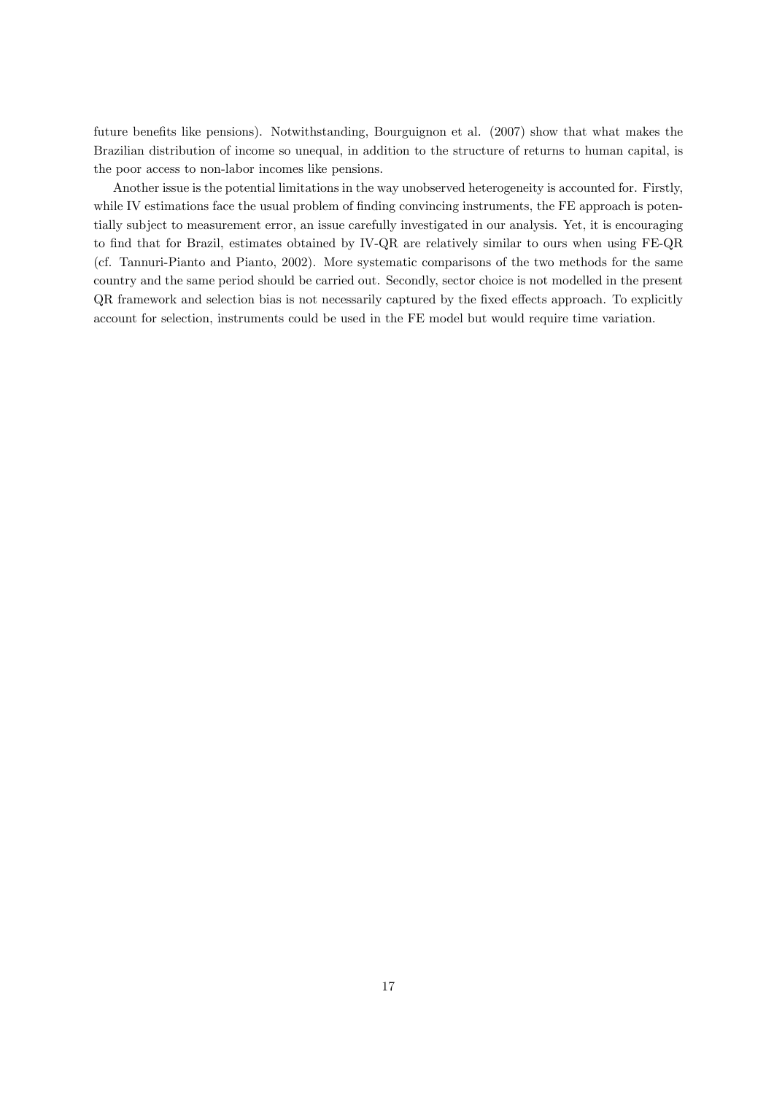future benefits like pensions). Notwithstanding, Bourguignon et al. (2007) show that what makes the Brazilian distribution of income so unequal, in addition to the structure of returns to human capital, is the poor access to non-labor incomes like pensions.

Another issue is the potential limitations in the way unobserved heterogeneity is accounted for. Firstly, while IV estimations face the usual problem of finding convincing instruments, the FE approach is potentially subject to measurement error, an issue carefully investigated in our analysis. Yet, it is encouraging to find that for Brazil, estimates obtained by IV-QR are relatively similar to ours when using FE-QR (cf. Tannuri-Pianto and Pianto, 2002). More systematic comparisons of the two methods for the same country and the same period should be carried out. Secondly, sector choice is not modelled in the present QR framework and selection bias is not necessarily captured by the fixed effects approach. To explicitly account for selection, instruments could be used in the FE model but would require time variation.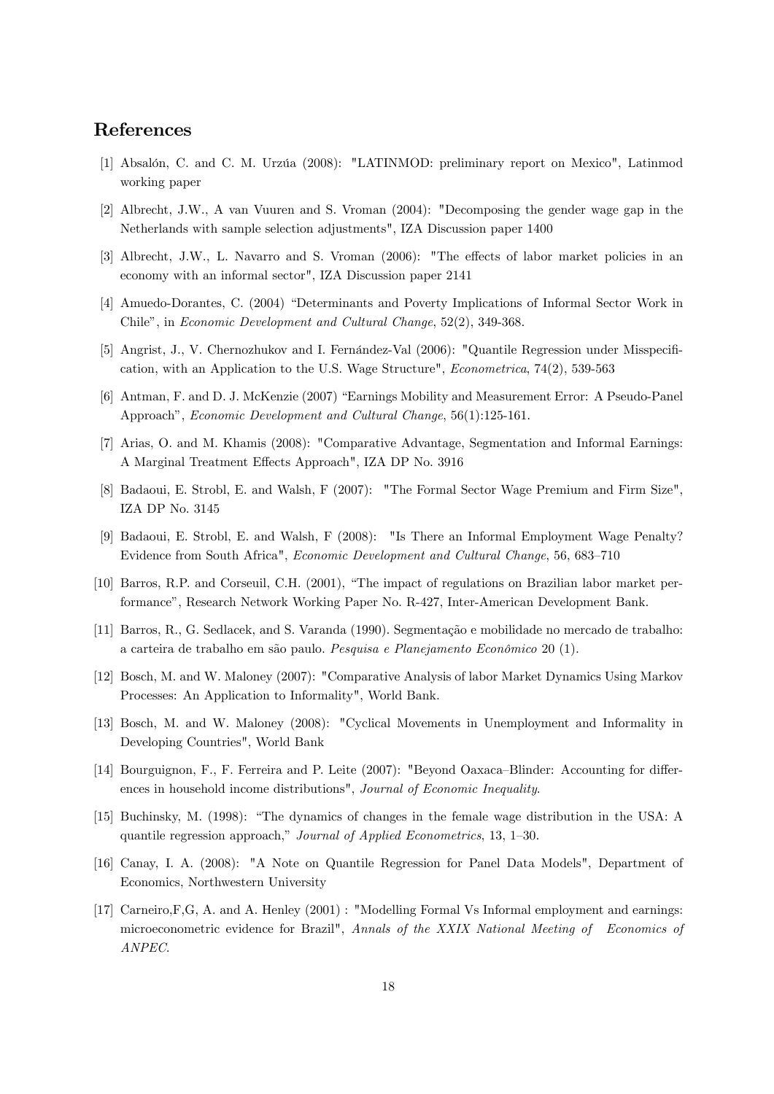## References

- [1] Absalón, C. and C. M. Urzúa (2008): "LATINMOD: preliminary report on Mexico", Latinmod working paper
- [2] Albrecht, J.W., A van Vuuren and S. Vroman (2004): "Decomposing the gender wage gap in the Netherlands with sample selection adjustments", IZA Discussion paper 1400
- [3] Albrecht, J.W., L. Navarro and S. Vroman (2006): "The effects of labor market policies in an economy with an informal sector", IZA Discussion paper 2141
- [4] Amuedo-Dorantes, C. (2004) "Determinants and Poverty Implications of Informal Sector Work in Chile", in Economic Development and Cultural Change, 52(2), 349-368.
- [5] Angrist, J., V. Chernozhukov and I. Fernández-Val (2006): "Quantile Regression under Misspecification, with an Application to the U.S. Wage Structure", Econometrica, 74(2), 539-563
- [6] Antman, F. and D. J. McKenzie (2007) "Earnings Mobility and Measurement Error: A Pseudo-Panel Approach", Economic Development and Cultural Change, 56(1):125-161.
- [7] Arias, O. and M. Khamis (2008): "Comparative Advantage, Segmentation and Informal Earnings: A Marginal Treatment Effects Approach", IZA DP No. 3916
- [8] Badaoui, E. Strobl, E. and Walsh, F (2007): "The Formal Sector Wage Premium and Firm Size", IZA DP No. 3145
- [9] Badaoui, E. Strobl, E. and Walsh, F (2008): "Is There an Informal Employment Wage Penalty? Evidence from South Africa", Economic Development and Cultural Change, 56, 683-710
- [10] Barros, R.P. and Corseuil, C.H. (2001), "The impact of regulations on Brazilian labor market performanceî, Research Network Working Paper No. R-427, Inter-American Development Bank.
- [11] Barros, R., G. Sedlacek, and S. Varanda (1990). Segmentação e mobilidade no mercado de trabalho: a carteira de trabalho em são paulo. Pesquisa e Planejamento Econômico 20 (1).
- [12] Bosch, M. and W. Maloney (2007): "Comparative Analysis of labor Market Dynamics Using Markov Processes: An Application to Informality", World Bank.
- [13] Bosch, M. and W. Maloney (2008): "Cyclical Movements in Unemployment and Informality in Developing Countries", World Bank
- [14] Bourguignon, F., F. Ferreira and P. Leite (2007): "Beyond Oaxaca–Blinder: Accounting for differences in household income distributions", Journal of Economic Inequality.
- [15] Buchinsky, M. (1998): "The dynamics of changes in the female wage distribution in the USA: A quantile regression approach," Journal of Applied Econometrics, 13, 1–30.
- [16] Canay, I. A. (2008): "A Note on Quantile Regression for Panel Data Models", Department of Economics, Northwestern University
- [17] Carneiro,F,G, A. and A. Henley (2001) : "Modelling Formal Vs Informal employment and earnings: microeconometric evidence for Brazil", Annals of the XXIX National Meeting of Economics of ANPEC.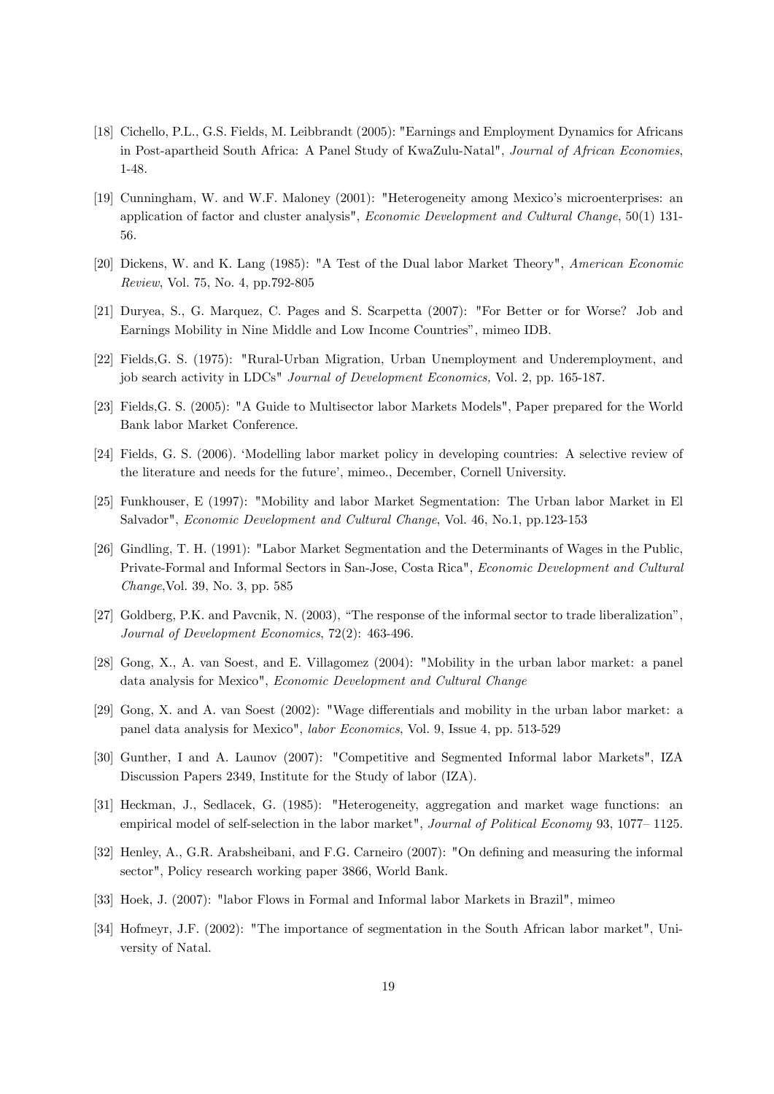- [18] Cichello, P.L., G.S. Fields, M. Leibbrandt (2005): "Earnings and Employment Dynamics for Africans in Post-apartheid South Africa: A Panel Study of KwaZulu-Natal", Journal of African Economies, 1-48.
- [19] Cunningham, W. and W.F. Maloney (2001): "Heterogeneity among Mexico's microenterprises: an application of factor and cluster analysis", *Economic Development and Cultural Change*, 50(1) 131-56.
- [20] Dickens, W. and K. Lang (1985): "A Test of the Dual labor Market Theory", American Economic Review, Vol. 75, No. 4, pp.792-805
- [21] Duryea, S., G. Marquez, C. Pages and S. Scarpetta (2007): "For Better or for Worse? Job and Earnings Mobility in Nine Middle and Low Income Countries", mimeo IDB.
- [22] Fields,G. S. (1975): "Rural-Urban Migration, Urban Unemployment and Underemployment, and job search activity in LDCs" Journal of Development Economics, Vol. 2, pp. 165-187.
- [23] Fields,G. S. (2005): "A Guide to Multisector labor Markets Models", Paper prepared for the World Bank labor Market Conference.
- [24] Fields, G. S. (2006). 'Modelling labor market policy in developing countries: A selective review of the literature and needs for the future', mimeo., December, Cornell University.
- [25] Funkhouser, E (1997): "Mobility and labor Market Segmentation: The Urban labor Market in El Salvador", Economic Development and Cultural Change, Vol. 46, No.1, pp.123-153
- [26] Gindling, T. H. (1991): "Labor Market Segmentation and the Determinants of Wages in the Public, Private-Formal and Informal Sectors in San-Jose, Costa Rica", Economic Development and Cultural Change,Vol. 39, No. 3, pp. 585
- [27] Goldberg, P.K. and Pavcnik, N. (2003), "The response of the informal sector to trade liberalization". Journal of Development Economics, 72(2): 463-496.
- [28] Gong, X., A. van Soest, and E. Villagomez (2004): "Mobility in the urban labor market: a panel data analysis for Mexico", Economic Development and Cultural Change
- [29] Gong, X. and A. van Soest (2002): "Wage differentials and mobility in the urban labor market: a panel data analysis for Mexico", labor Economics, Vol. 9, Issue 4, pp. 513-529
- [30] Gunther, I and A. Launov (2007): "Competitive and Segmented Informal labor Markets", IZA Discussion Papers 2349, Institute for the Study of labor (IZA).
- [31] Heckman, J., Sedlacek, G. (1985): "Heterogeneity, aggregation and market wage functions: an empirical model of self-selection in the labor market", Journal of Political Economy 93, 1077–1125.
- [32] Henley, A., G.R. Arabsheibani, and F.G. Carneiro (2007): "On defining and measuring the informal sector", Policy research working paper 3866, World Bank.
- [33] Hoek, J. (2007): "labor Flows in Formal and Informal labor Markets in Brazil", mimeo
- [34] Hofmeyr, J.F. (2002): "The importance of segmentation in the South African labor market", University of Natal.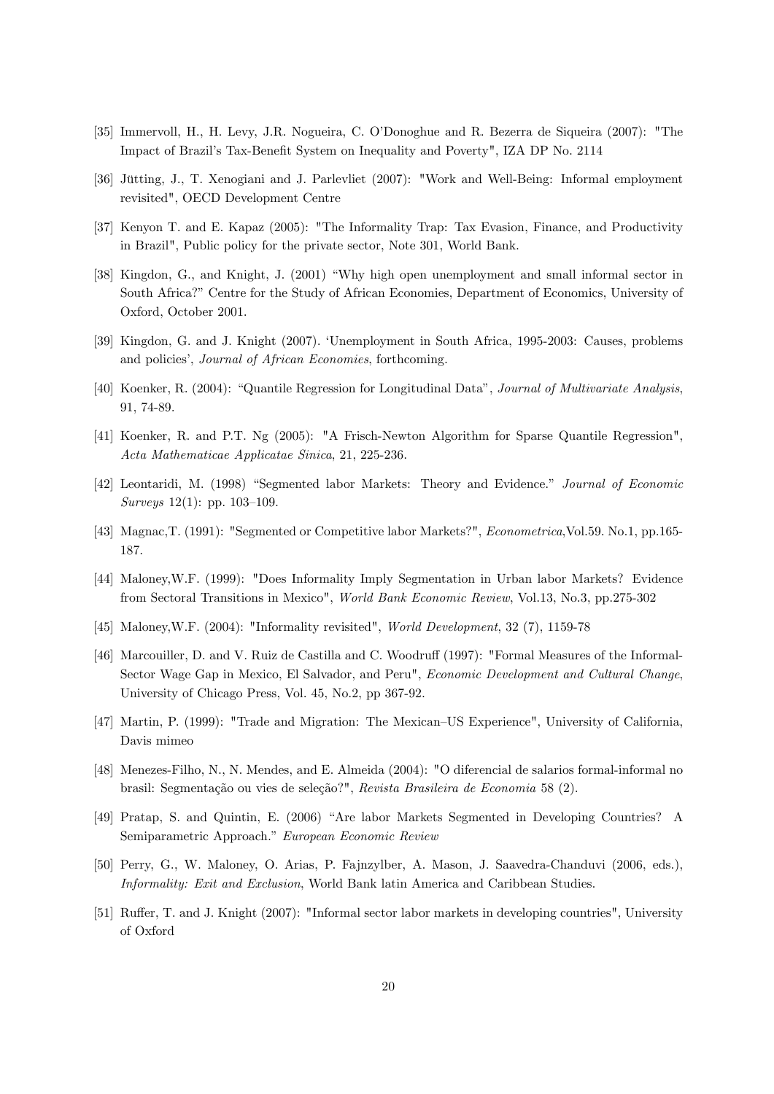- [35] Immervoll, H., H. Levy, J.R. Nogueira, C. O'Donoghue and R. Bezerra de Siqueira (2007): "The Impact of Brazil's Tax-Benefit System on Inequality and Poverty", IZA DP No. 2114
- [36] Jütting, J., T. Xenogiani and J. Parlevliet (2007): "Work and Well-Being: Informal employment revisited", OECD Development Centre
- [37] Kenyon T. and E. Kapaz (2005): "The Informality Trap: Tax Evasion, Finance, and Productivity in Brazil", Public policy for the private sector, Note 301, World Bank.
- [38] Kingdon, G., and Knight, J. (2001) "Why high open unemployment and small informal sector in South Africa?" Centre for the Study of African Economies, Department of Economics, University of Oxford, October 2001.
- [39] Kingdon, G. and J. Knight (2007). ëUnemployment in South Africa, 1995-2003: Causes, problems and policies', *Journal of African Economies*, forthcoming.
- [40] Koenker, R. (2004): "Quantile Regression for Longitudinal Data", Journal of Multivariate Analysis, 91, 74-89.
- [41] Koenker, R. and P.T. Ng (2005): "A Frisch-Newton Algorithm for Sparse Quantile Regression", Acta Mathematicae Applicatae Sinica, 21, 225-236.
- [42] Leontaridi, M. (1998) "Segmented labor Markets: Theory and Evidence." Journal of Economic Surveys  $12(1)$ : pp.  $103-109$ .
- [43] Magnac,T. (1991): "Segmented or Competitive labor Markets?", Econometrica,Vol.59. No.1, pp.165- 187.
- [44] Maloney,W.F. (1999): "Does Informality Imply Segmentation in Urban labor Markets? Evidence from Sectoral Transitions in Mexico", World Bank Economic Review, Vol.13, No.3, pp.275-302
- [45] Maloney,W.F. (2004): "Informality revisited", World Development, 32 (7), 1159-78
- [46] Marcouiller, D. and V. Ruiz de Castilla and C. Woodruff (1997): "Formal Measures of the Informal-Sector Wage Gap in Mexico, El Salvador, and Peru", Economic Development and Cultural Change, University of Chicago Press, Vol. 45, No.2, pp 367-92.
- [47] Martin, P. (1999): "Trade and Migration: The Mexican–US Experience", University of California, Davis mimeo
- [48] Menezes-Filho, N., N. Mendes, and E. Almeida (2004): "O diferencial de salarios formal-informal no brasil: Segmentação ou vies de seleção?", Revista Brasileira de Economia 58 (2).
- [49] Pratap, S. and Quintin, E. (2006) "Are labor Markets Segmented in Developing Countries? A Semiparametric Approach." European Economic Review
- [50] Perry, G., W. Maloney, O. Arias, P. Fajnzylber, A. Mason, J. Saavedra-Chanduvi (2006, eds.), Informality: Exit and Exclusion, World Bank latin America and Caribbean Studies.
- [51] Ruffer, T. and J. Knight (2007): "Informal sector labor markets in developing countries", University of Oxford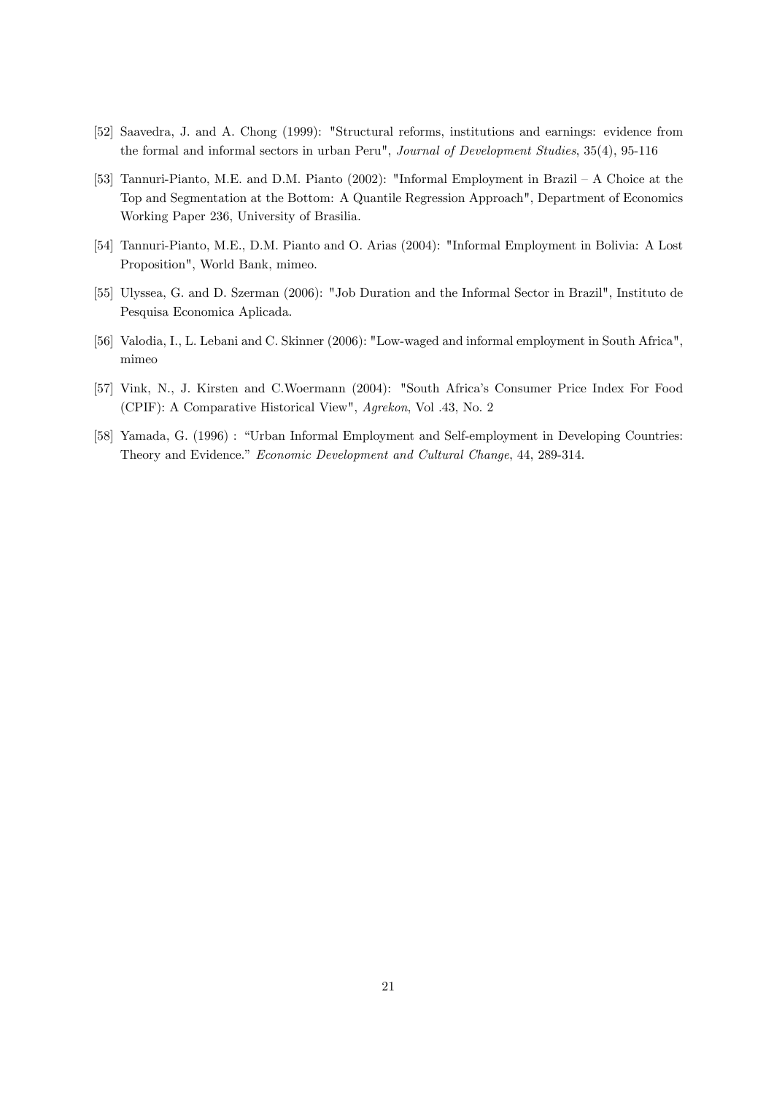- [52] Saavedra, J. and A. Chong (1999): "Structural reforms, institutions and earnings: evidence from the formal and informal sectors in urban Peru", Journal of Development Studies, 35(4), 95-116
- [53] Tannuri-Pianto, M.E. and D.M. Pianto (2002): "Informal Employment in Brazil  $A$  Choice at the Top and Segmentation at the Bottom: A Quantile Regression Approach", Department of Economics Working Paper 236, University of Brasilia.
- [54] Tannuri-Pianto, M.E., D.M. Pianto and O. Arias (2004): "Informal Employment in Bolivia: A Lost Proposition", World Bank, mimeo.
- [55] Ulyssea, G. and D. Szerman (2006): "Job Duration and the Informal Sector in Brazil", Instituto de Pesquisa Economica Aplicada.
- [56] Valodia, I., L. Lebani and C. Skinner (2006): "Low-waged and informal employment in South Africa", mimeo
- [57] Vink, N., J. Kirsten and C.Woermann (2004): "South Africa's Consumer Price Index For Food (CPIF): A Comparative Historical View", Agrekon, Vol .43, No. 2
- [58] Yamada, G. (1996) : "Urban Informal Employment and Self-employment in Developing Countries: Theory and Evidence." Economic Development and Cultural Change, 44, 289-314.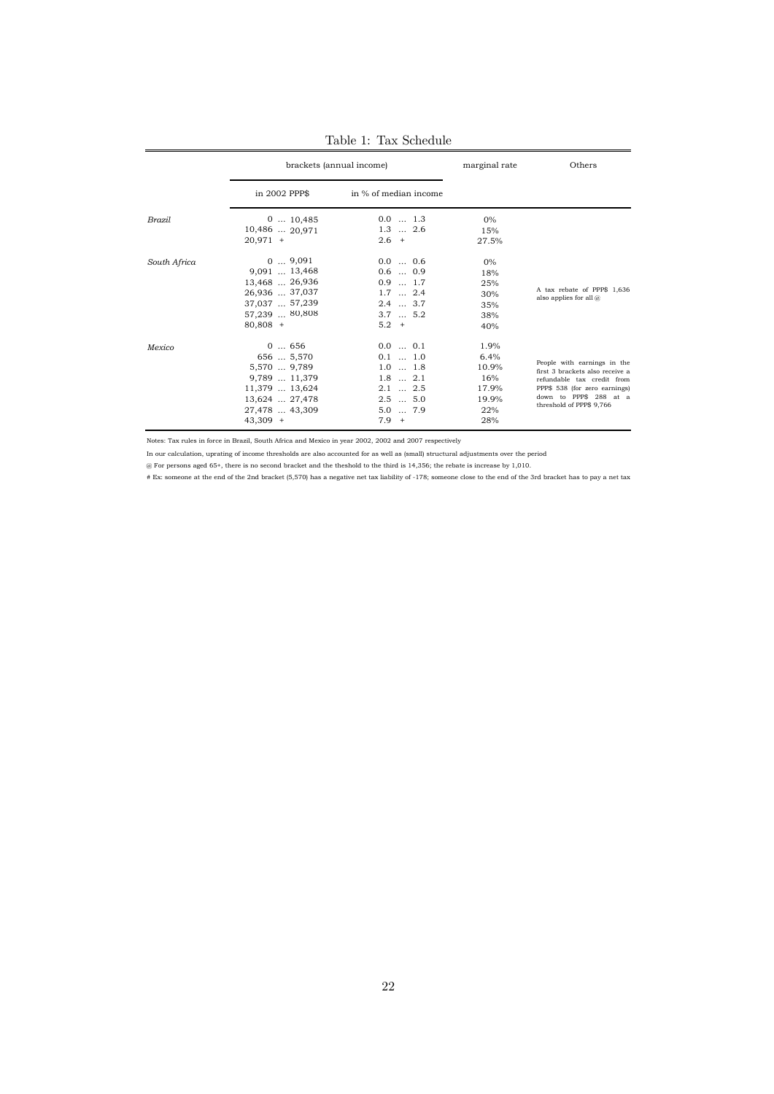|              |                                                                                                                         | brackets (annual income)                                                                                                      | marginal rate                                                | Others                                                                                                                                                                              |  |
|--------------|-------------------------------------------------------------------------------------------------------------------------|-------------------------------------------------------------------------------------------------------------------------------|--------------------------------------------------------------|-------------------------------------------------------------------------------------------------------------------------------------------------------------------------------------|--|
|              | in 2002 PPP\$                                                                                                           | in % of median income                                                                                                         |                                                              |                                                                                                                                                                                     |  |
| Brazil       | $0 \dots 10,485$<br>$10,486$ 20.971<br>$20,971 +$                                                                       | $0.0$ 1.3<br>$1.3$ $2.6$<br>$2.6 +$                                                                                           | 0%<br>15%<br>27.5%                                           |                                                                                                                                                                                     |  |
| South Africa | $0 \dots 9,091$<br>$9.091$ 13,468<br>13,468  26,936<br>26,936  37,037<br>37,037  57,239<br>57,239  80,808<br>$80.808 +$ | $0.0 \dots 0.6$<br>$0.6$ 0.9<br>$0.9$ 1.7<br>$1.7 \dots 2.4$<br>$2.4 \dots 3.7$<br>$3.7 \dots 5.2$<br>$5.2 +$                 | $0\%$<br>18%<br>25%<br>30%<br>35%<br>38%<br>40%              | A tax rebate of PPP\$ 1,636<br>also applies for all $(a)$                                                                                                                           |  |
| Mexico       | 0656<br>656  5,570<br>5,570  9,789<br>9,789  11,379<br>11,379  13,624<br>13,624  27,478<br>27,478  43,309<br>$43,309 +$ | $0.0$ $0.1$<br>$0.1 \dots 1.0$<br>$1.0$ $1.8$<br>$1.8 \dots 2.1$<br>$2.1 \ldots 2.5$<br>$2.5$ $5.0$<br>$5.0$ $7.9$<br>$7.9 +$ | 1.9%<br>6.4%<br>10.9%<br>16%<br>17.9%<br>19.9%<br>22%<br>28% | People with earnings in the<br>first 3 brackets also receive a<br>refundable tax credit from<br>PPP\$ 538 (for zero earnings)<br>down to PPP\$ 288 at a<br>threshold of PPP\$ 9,766 |  |

Table 1: Tax Schedule

Notes: Tax rules in force in Brazil, South Africa and Mexico in year 2002, 2002 and 2007 respectively

In our calculation, uprating of income thresholds are also accounted for as well as (small) structural adjustments over the period

@ For persons aged 65+, there is no second bracket and the theshold to the third is 14,356; the rebate is increase by 1,010.

# Ex: someone at the end of the 2nd bracket (5,570) has a negative net tax liability of -178; someone close to the end of the 3rd bracket has to pay a net tax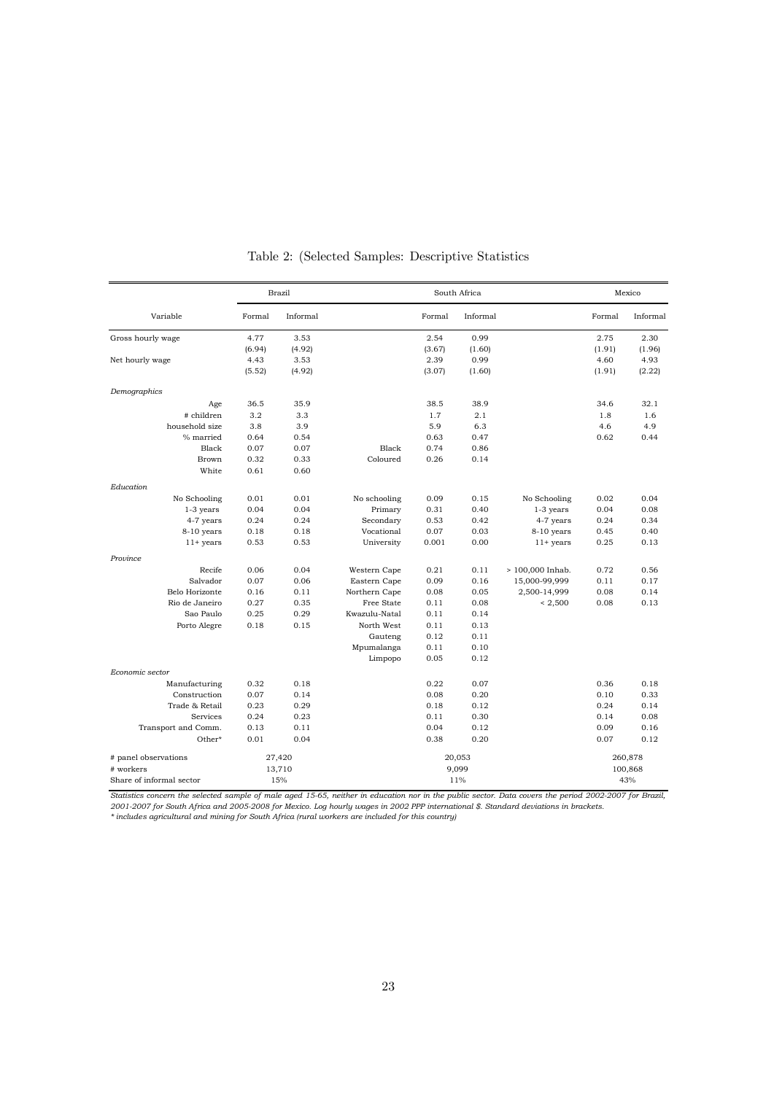|                          |                  | <b>Brazil</b> |               | South Africa    |          |                  |                |          |
|--------------------------|------------------|---------------|---------------|-----------------|----------|------------------|----------------|----------|
| Variable                 | Formal           | Informal      |               | Formal          | Informal |                  | Formal         | Informal |
| Gross hourly wage        | 4.77             | 3.53          |               | 2.54            | 0.99     |                  | 2.75           | 2.30     |
|                          | (6.94)           | (4.92)        |               | (3.67)          | (1.60)   |                  | (1.91)         | (1.96)   |
| Net hourly wage          | 4.43             | 3.53          |               | 2.39            | 0.99     |                  | 4.60           | 4.93     |
|                          | (5.52)           | (4.92)        |               | (3.07)          | (1.60)   |                  | (1.91)         | (2.22)   |
| Demographics             |                  |               |               |                 |          |                  |                |          |
| Age                      | 36.5             | 35.9          |               | 38.5            | 38.9     |                  | 34.6           | 32.1     |
| # children               | 3.2              | 3.3           |               | 1.7             | 2.1      |                  | 1.8            | 1.6      |
| household size           | 3.8              | 3.9           |               | 5.9             | 6.3      |                  | 4.6            | 4.9      |
| % married                | 0.64             | 0.54          |               | 0.63            | 0.47     |                  | 0.62           | 0.44     |
| Black                    | 0.07             | 0.07          | Black         | 0.74            | 0.86     |                  |                |          |
| Brown                    | 0.32             | 0.33          | Coloured      | 0.26            | 0.14     |                  |                |          |
| White                    | 0.61             | 0.60          |               |                 |          |                  |                |          |
| Education                |                  |               |               |                 |          |                  |                |          |
| No Schooling             | 0.01             | 0.01          | No schooling  | 0.09            | 0.15     | No Schooling     | 0.02           | 0.04     |
| $1-3$ years              | 0.04             | 0.04          | Primary       | 0.31            | 0.40     | $1-3$ years      | 0.04           | 0.08     |
| 4-7 years                | 0.24             | 0.24          | Secondary     | 0.53            | 0.42     | 4-7 years        | 0.24           | 0.34     |
| 8-10 years               | 0.18             | 0.18          | Vocational    | 0.07            | 0.03     | 8-10 years       | 0.45           | 0.40     |
| $11+$ years              | 0.53             | 0.53          | University    | 0.001           | 0.00     | $11+$ years      | 0.25           | 0.13     |
| Province                 |                  |               |               |                 |          |                  |                |          |
| Recife                   | 0.06             | 0.04          | Western Cape  | 0.21            | 0.11     | > 100,000 Inhab. | 0.72           | 0.56     |
| Salvador                 | 0.07             | 0.06          | Eastern Cape  | 0.09            | 0.16     | 15,000-99,999    | 0.11           | 0.17     |
| Belo Horizonte           | 0.16             | 0.11          | Northern Cape | 0.08            | 0.05     | 2,500-14,999     | 0.08           | 0.14     |
| Rio de Janeiro           | 0.27             | 0.35          | Free State    | 0.11            | 0.08     | < 2,500          | 0.08           | 0.13     |
| Sao Paulo                | 0.25             | 0.29          | Kwazulu-Natal | 0.11            | 0.14     |                  |                |          |
| Porto Alegre             | 0.18             | 0.15          | North West    | 0.11            | 0.13     |                  |                |          |
|                          |                  |               | Gauteng       | 0.12            | 0.11     |                  |                |          |
|                          |                  |               | Mpumalanga    | 0.11            | 0.10     |                  |                |          |
| Economic sector          |                  |               | Limpopo       | 0.05            | 0.12     |                  |                |          |
| Manufacturing            | 0.32             | 0.18          |               | 0.22            | 0.07     |                  | 0.36           | 0.18     |
| Construction             | 0.07             | 0.14          |               | 0.08            | 0.20     |                  | 0.10           | 0.33     |
| Trade & Retail           | 0.23             | 0.29          |               | 0.18            | 0.12     |                  | 0.24           | 0.14     |
| Services                 | 0.24             | 0.23          |               | 0.11            | 0.30     |                  | 0.14           | 0.08     |
| Transport and Comm.      | 0.13             | 0.11          |               | 0.04            | 0.12     |                  | 0.09           | 0.16     |
| Other*                   | 0.01             | 0.04          |               | 0.38            | 0.20     |                  | 0.07           | 0.12     |
| # panel observations     |                  |               |               |                 |          |                  |                | 260,878  |
| # workers                | 27,420<br>13,710 |               |               | 20,053<br>9,099 |          |                  |                |          |
| Share of informal sector |                  | 15%           |               |                 |          |                  | 100,868<br>43% |          |
|                          |                  |               |               | 11%             |          |                  |                |          |

Table 2: (Selected Samples: Descriptive Statistics

Statistics concern the selected sample of male aged 15-65, neither in education nor in the public sector. Data covers the period 2002-2007 for Brazil,<br>2001-2007 for South Africa and 2005-2008 for Mexico. Log hourly wages i

*\* includes agricultural and mining for South Africa (rural workers are included for this country)*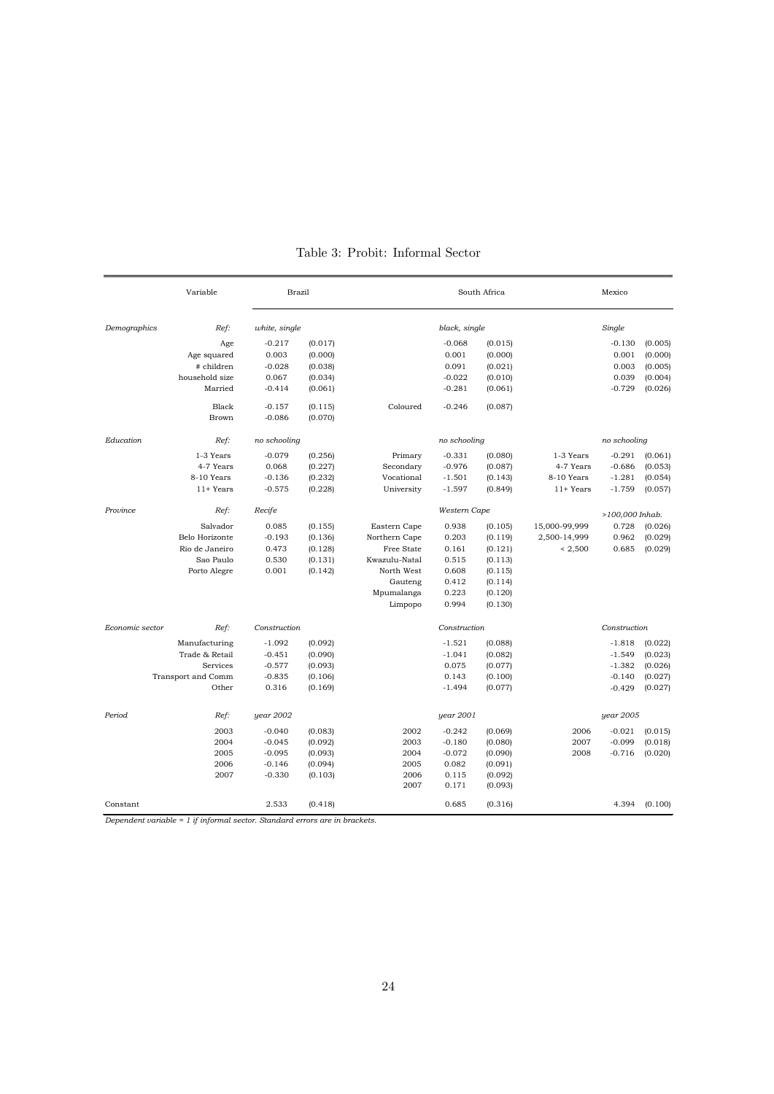|                  | Variable           | <b>Brazil</b> |               |               | South Africa |                 | Mexico        |              |         |  |  |
|------------------|--------------------|---------------|---------------|---------------|--------------|-----------------|---------------|--------------|---------|--|--|
| Demographics     | Ref:               |               | white, single |               |              | black, single   |               |              | Single  |  |  |
|                  | Age                | $-0.217$      | (0.017)       |               | $-0.068$     | (0.015)         |               | $-0.130$     | (0.005) |  |  |
|                  | Age squared        | 0.003         | (0.000)       |               | 0.001        | (0.000)         |               | 0.001        | (0.000) |  |  |
|                  | # children         | $-0.028$      | (0.038)       |               | 0.091        | (0.021)         |               | 0.003        | (0.005) |  |  |
|                  | household size     | 0.067         | (0.034)       |               | $-0.022$     | (0.010)         |               | 0.039        | (0.004) |  |  |
|                  | Married            | $-0.414$      | (0.061)       |               | $-0.281$     | (0.061)         |               | $-0.729$     | (0.026) |  |  |
|                  | Black              | $-0.157$      | (0.115)       | Coloured      | $-0.246$     | (0.087)         |               |              |         |  |  |
|                  | Brown              | $-0.086$      | (0.070)       |               |              |                 |               |              |         |  |  |
| Education        | Ref:               | no schooling  |               |               | no schooling |                 |               | no schooling |         |  |  |
|                  | 1-3 Years          | $-0.079$      | (0.256)       | Primary       | $-0.331$     | (0.080)         | 1-3 Years     | $-0.291$     | (0.061) |  |  |
|                  | 4-7 Years          | 0.068         | (0.227)       | Secondary     | $-0.976$     | (0.087)         | 4-7 Years     | $-0.686$     | (0.053) |  |  |
|                  | 8-10 Years         | $-0.136$      | (0.232)       | Vocational    | $-1.501$     | (0.143)         | 8-10 Years    | $-1.281$     | (0.054) |  |  |
|                  | $11+Years$         | $-0.575$      | (0.228)       | University    | $-1.597$     | (0.849)         | $11+Years$    | $-1.759$     | (0.057) |  |  |
| Province<br>Ref: |                    | Recife        |               |               | Western Cape | >100,000 Inhab. |               |              |         |  |  |
|                  | Salvador           | 0.085         | (0.155)       | Eastern Cape  | 0.938        | (0.105)         | 15,000-99,999 | 0.728        | (0.026) |  |  |
|                  | Belo Horizonte     | $-0.193$      | (0.136)       | Northern Cape | 0.203        | (0.119)         | 2,500-14,999  | 0.962        | (0.029) |  |  |
|                  | Rio de Janeiro     | 0.473         | (0.128)       | Free State    | 0.161        | (0.121)         | < 2,500       | 0.685        | (0.029) |  |  |
|                  | Sao Paulo          | 0.530         | (0.131)       | Kwazulu-Natal | 0.515        | (0.113)         |               |              |         |  |  |
|                  | Porto Alegre       | 0.001         | (0.142)       | North West    | 0.608        | (0.115)         |               |              |         |  |  |
|                  |                    |               |               | Gauteng       | 0.412        | (0.114)         |               |              |         |  |  |
|                  |                    |               |               | Mpumalanga    | 0.223        | (0.120)         |               |              |         |  |  |
|                  |                    |               |               | Limpopo       | 0.994        | (0.130)         |               |              |         |  |  |
| Economic sector  | Ref:               | Construction  |               |               | Construction |                 |               | Construction |         |  |  |
|                  | Manufacturing      | $-1.092$      | (0.092)       |               | $-1.521$     | (0.088)         |               | $-1.818$     | (0.022) |  |  |
|                  | Trade & Retail     | $-0.451$      | (0.090)       |               | $-1.041$     | (0.082)         |               | $-1.549$     | (0.023) |  |  |
|                  | <b>Services</b>    | $-0.577$      | (0.093)       |               | 0.075        | (0.077)         |               | $-1.382$     | (0.026) |  |  |
|                  | Transport and Comm | $-0.835$      | (0.106)       |               | 0.143        | (0.100)         |               | $-0.140$     | (0.027) |  |  |
|                  | Other              | 0.316         | (0.169)       |               | $-1.494$     | (0.077)         |               | $-0.429$     | (0.027) |  |  |
| Period           | Ref:               | year 2002     |               |               | year 2001    |                 |               | year 2005    |         |  |  |
|                  | 2003               | $-0.040$      | (0.083)       | 2002          | $-0.242$     | (0.069)         | 2006          | $-0.021$     | (0.015) |  |  |
|                  | 2004               | $-0.045$      | (0.092)       | 2003          | $-0.180$     | (0.080)         | 2007          | $-0.099$     | (0.018) |  |  |
|                  | 2005               | $-0.095$      | (0.093)       | 2004          | $-0.072$     | (0.090)         | 2008          | $-0.716$     | (0.020) |  |  |
|                  | 2006               | $-0.146$      | (0.094)       | 2005          | 0.082        | (0.091)         |               |              |         |  |  |
|                  | 2007               | $-0.330$      | (0.103)       | 2006          | 0.115        | (0.092)         |               |              |         |  |  |
|                  |                    |               |               | 2007          | 0.171        | (0.093)         |               |              |         |  |  |
| Constant         |                    | 2.533         | (0.418)       |               | 0.685        | (0.316)         |               | 4.394        | (0.100) |  |  |

## Table 3: Probit: Informal Sector

*Dependent variable = 1 if informal sector. Standard errors are in brackets.*